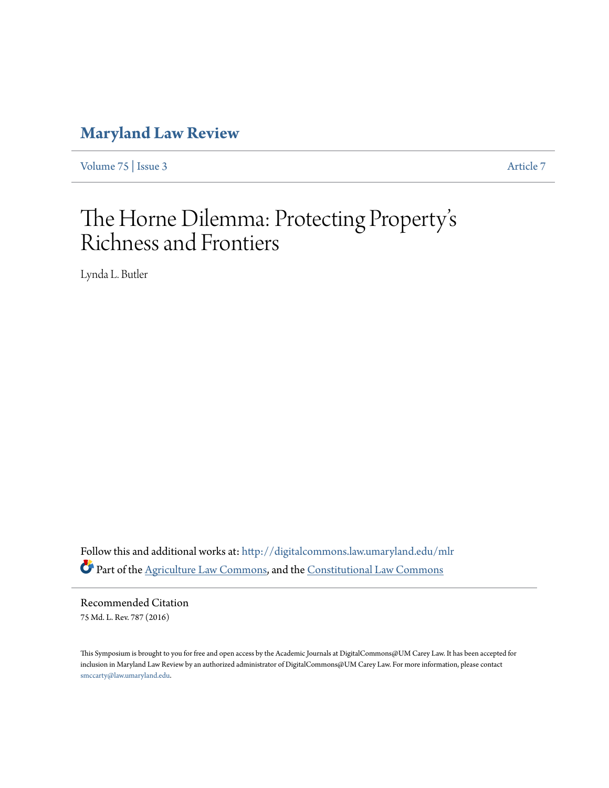# **[Maryland Law Review](http://digitalcommons.law.umaryland.edu/mlr?utm_source=digitalcommons.law.umaryland.edu%2Fmlr%2Fvol75%2Fiss3%2F7&utm_medium=PDF&utm_campaign=PDFCoverPages)**

[Volume 75](http://digitalcommons.law.umaryland.edu/mlr/vol75?utm_source=digitalcommons.law.umaryland.edu%2Fmlr%2Fvol75%2Fiss3%2F7&utm_medium=PDF&utm_campaign=PDFCoverPages) | [Issue 3](http://digitalcommons.law.umaryland.edu/mlr/vol75/iss3?utm_source=digitalcommons.law.umaryland.edu%2Fmlr%2Fvol75%2Fiss3%2F7&utm_medium=PDF&utm_campaign=PDFCoverPages) [Article 7](http://digitalcommons.law.umaryland.edu/mlr/vol75/iss3/7?utm_source=digitalcommons.law.umaryland.edu%2Fmlr%2Fvol75%2Fiss3%2F7&utm_medium=PDF&utm_campaign=PDFCoverPages)

## The Horne Dilemma: Protecting Property s י<br>' י Richness and Frontiers

Lynda L. Butler

Follow this and additional works at: [http://digitalcommons.law.umaryland.edu/mlr](http://digitalcommons.law.umaryland.edu/mlr?utm_source=digitalcommons.law.umaryland.edu%2Fmlr%2Fvol75%2Fiss3%2F7&utm_medium=PDF&utm_campaign=PDFCoverPages) Part of the [Agriculture Law Commons](http://network.bepress.com/hgg/discipline/581?utm_source=digitalcommons.law.umaryland.edu%2Fmlr%2Fvol75%2Fiss3%2F7&utm_medium=PDF&utm_campaign=PDFCoverPages), and the [Constitutional Law Commons](http://network.bepress.com/hgg/discipline/589?utm_source=digitalcommons.law.umaryland.edu%2Fmlr%2Fvol75%2Fiss3%2F7&utm_medium=PDF&utm_campaign=PDFCoverPages)

Recommended Citation 75 Md. L. Rev. 787 (2016)

This Symposium is brought to you for free and open access by the Academic Journals at DigitalCommons@UM Carey Law. It has been accepted for inclusion in Maryland Law Review by an authorized administrator of DigitalCommons@UM Carey Law. For more information, please contact [smccarty@law.umaryland.edu.](mailto:smccarty@law.umaryland.edu)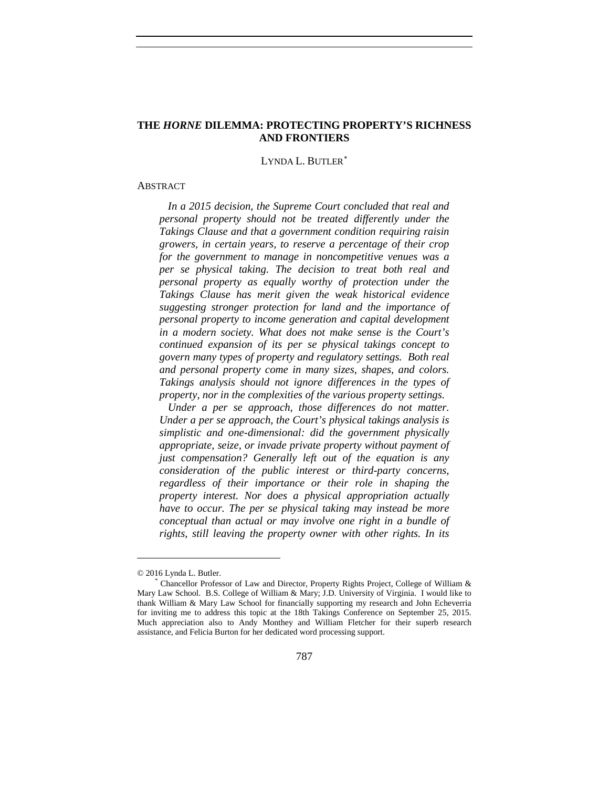## **THE** *HORNE* **DILEMMA: PROTECTING PROPERTY'S RICHNESS AND FRONTIERS**

LYNDA L. BUTLER<sup>\*</sup>

#### ABSTRACT

*In a 2015 decision, the Supreme Court concluded that real and personal property should not be treated differently under the Takings Clause and that a government condition requiring raisin growers, in certain years, to reserve a percentage of their crop for the government to manage in noncompetitive venues was a per se physical taking. The decision to treat both real and personal property as equally worthy of protection under the Takings Clause has merit given the weak historical evidence suggesting stronger protection for land and the importance of personal property to income generation and capital development in a modern society. What does not make sense is the Court's continued expansion of its per se physical takings concept to govern many types of property and regulatory settings. Both real and personal property come in many sizes, shapes, and colors. Takings analysis should not ignore differences in the types of property, nor in the complexities of the various property settings.*

*Under a per se approach, those differences do not matter. Under a per se approach, the Court's physical takings analysis is simplistic and one-dimensional: did the government physically appropriate, seize, or invade private property without payment of just compensation? Generally left out of the equation is any consideration of the public interest or third-party concerns, regardless of their importance or their role in shaping the property interest. Nor does a physical appropriation actually have to occur. The per se physical taking may instead be more conceptual than actual or may involve one right in a bundle of rights, still leaving the property owner with other rights. In its* 

<span id="page-1-0"></span><sup>© 2016</sup> Lynda L. Butler.

Chancellor Professor of Law and Director, Property Rights Project, College of William & Mary Law School. B.S. College of William & Mary; J.D. University of Virginia. I would like to thank William & Mary Law School for financially supporting my research and John Echeverria for inviting me to address this topic at the 18th Takings Conference on September 25, 2015. Much appreciation also to Andy Monthey and William Fletcher for their superb research assistance, and Felicia Burton for her dedicated word processing support.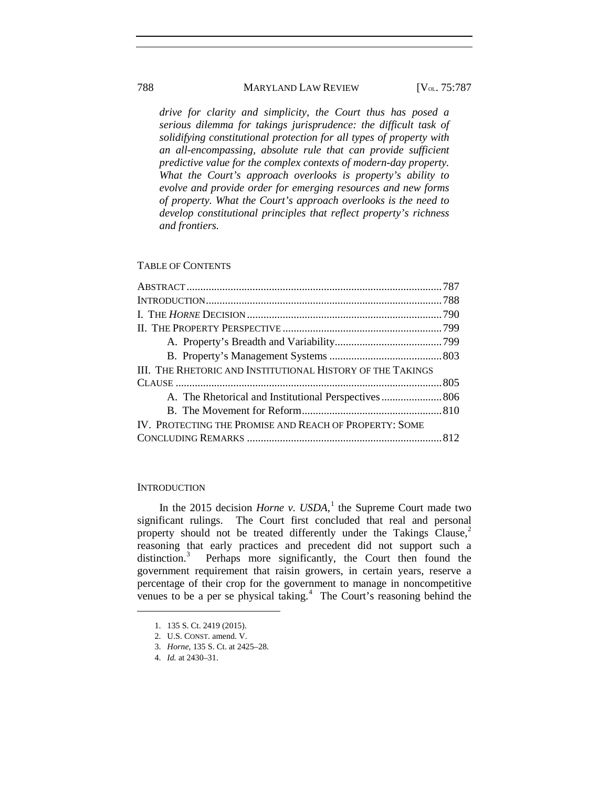*drive for clarity and simplicity, the Court thus has posed a serious dilemma for takings jurisprudence: the difficult task of solidifying constitutional protection for all types of property with an all-encompassing, absolute rule that can provide sufficient predictive value for the complex contexts of modern-day property. What the Court's approach overlooks is property's ability to evolve and provide order for emerging resources and new forms of property. What the Court's approach overlooks is the need to develop constitutional principles that reflect property's richness and frontiers.*

#### TABLE OF CONTENTS

#### **INTRODUCTION**

In the 20[1](#page-2-0)5 decision *Horne v. USDA*,<sup>1</sup> the Supreme Court made two significant rulings. The Court first concluded that real and personal property should not be treated differently under the Takings Clause, $<sup>2</sup>$  $<sup>2</sup>$  $<sup>2</sup>$ </sup> reasoning that early practices and precedent did not support such a distinction.<sup>[3](#page-2-2)</sup> Perhaps more significantly, the Court then found the government requirement that raisin growers, in certain years, reserve a percentage of their crop for the government to manage in noncompetitive venues to be a per se physical taking. $4$  The Court's reasoning behind the

<sup>1.</sup> 135 S. Ct. 2419 (2015).

<span id="page-2-2"></span><span id="page-2-1"></span><span id="page-2-0"></span><sup>2.</sup> U.S. CONST. amend. V.

<sup>3.</sup> *Horne*, 135 S. Ct. at 2425–28.

<span id="page-2-3"></span><sup>4.</sup> *Id.* at 2430–31.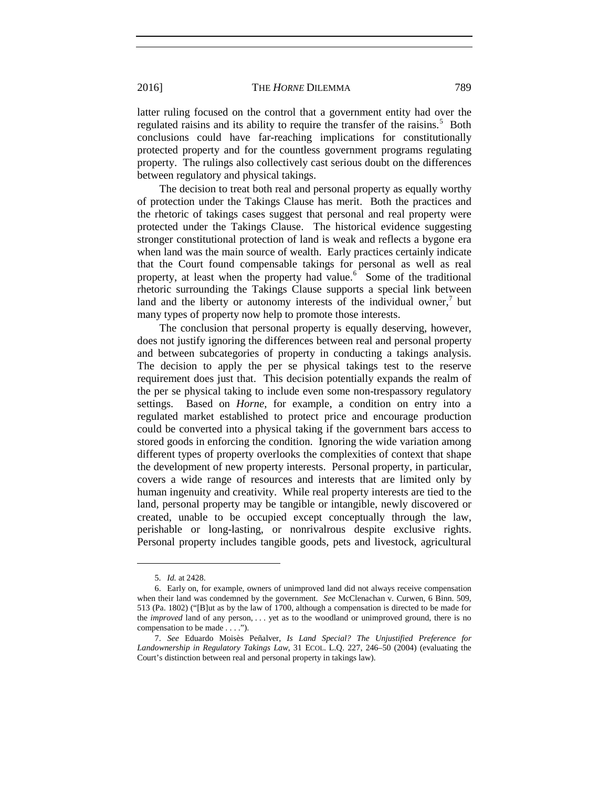latter ruling focused on the control that a government entity had over the regulated raisins and its ability to require the transfer of the raisins.<sup>[5](#page-3-0)</sup> Both conclusions could have far-reaching implications for constitutionally protected property and for the countless government programs regulating property. The rulings also collectively cast serious doubt on the differences between regulatory and physical takings.

The decision to treat both real and personal property as equally worthy of protection under the Takings Clause has merit. Both the practices and the rhetoric of takings cases suggest that personal and real property were protected under the Takings Clause. The historical evidence suggesting stronger constitutional protection of land is weak and reflects a bygone era when land was the main source of wealth. Early practices certainly indicate that the Court found compensable takings for personal as well as real property, at least when the property had value.<sup>[6](#page-3-1)</sup> Some of the traditional rhetoric surrounding the Takings Clause supports a special link between land and the liberty or autonomy interests of the individual owner, $\theta$  but many types of property now help to promote those interests.

The conclusion that personal property is equally deserving, however, does not justify ignoring the differences between real and personal property and between subcategories of property in conducting a takings analysis. The decision to apply the per se physical takings test to the reserve requirement does just that. This decision potentially expands the realm of the per se physical taking to include even some non-trespassory regulatory settings. Based on *Horne*, for example, a condition on entry into a regulated market established to protect price and encourage production could be converted into a physical taking if the government bars access to stored goods in enforcing the condition. Ignoring the wide variation among different types of property overlooks the complexities of context that shape the development of new property interests. Personal property, in particular, covers a wide range of resources and interests that are limited only by human ingenuity and creativity. While real property interests are tied to the land, personal property may be tangible or intangible, newly discovered or created, unable to be occupied except conceptually through the law, perishable or long-lasting, or nonrivalrous despite exclusive rights. Personal property includes tangible goods, pets and livestock, agricultural

<sup>5.</sup> *Id.* at 2428.

<span id="page-3-1"></span><span id="page-3-0"></span><sup>6.</sup> Early on, for example, owners of unimproved land did not always receive compensation when their land was condemned by the government. *See* McClenachan v. Curwen, 6 Binn. 509, 513 (Pa. 1802) ("[B]ut as by the law of 1700, although a compensation is directed to be made for the *improved* land of any person, . . . yet as to the woodland or unimproved ground, there is no compensation to be made . . . .").

<span id="page-3-2"></span><sup>7.</sup> *See* Eduardo Moisès Peñalver, *Is Land Special? The Unjustified Preference for Landownership in Regulatory Takings Law*, 31 ECOL. L.Q. 227, 246–50 (2004) (evaluating the Court's distinction between real and personal property in takings law).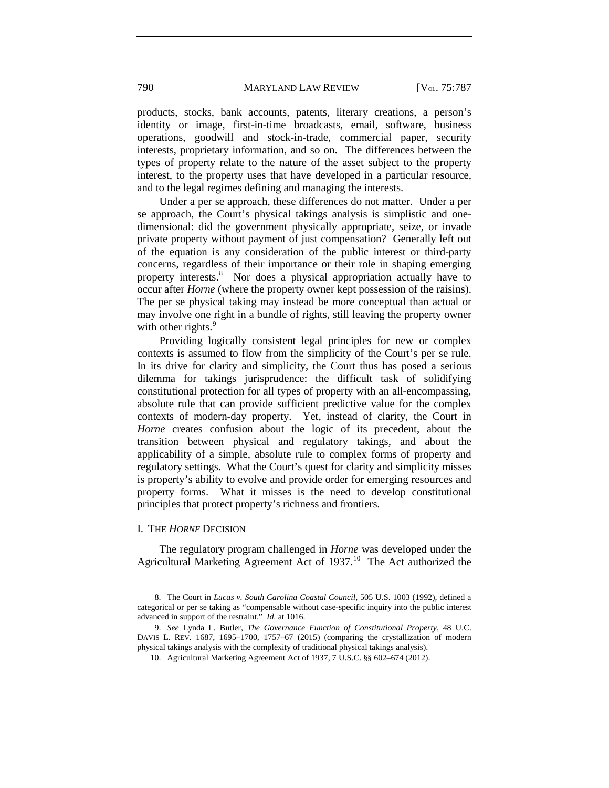products, stocks, bank accounts, patents, literary creations, a person's identity or image, first-in-time broadcasts, email, software, business operations, goodwill and stock-in-trade, commercial paper, security interests, proprietary information, and so on. The differences between the types of property relate to the nature of the asset subject to the property interest, to the property uses that have developed in a particular resource, and to the legal regimes defining and managing the interests.

Under a per se approach, these differences do not matter. Under a per se approach, the Court's physical takings analysis is simplistic and onedimensional: did the government physically appropriate, seize, or invade private property without payment of just compensation? Generally left out of the equation is any consideration of the public interest or third-party concerns, regardless of their importance or their role in shaping emerging property interests.<sup>[8](#page-4-0)</sup> Nor does a physical appropriation actually have to occur after *Horne* (where the property owner kept possession of the raisins). The per se physical taking may instead be more conceptual than actual or may involve one right in a bundle of rights, still leaving the property owner with other rights. $9$ 

<span id="page-4-3"></span>Providing logically consistent legal principles for new or complex contexts is assumed to flow from the simplicity of the Court's per se rule. In its drive for clarity and simplicity, the Court thus has posed a serious dilemma for takings jurisprudence: the difficult task of solidifying constitutional protection for all types of property with an all-encompassing, absolute rule that can provide sufficient predictive value for the complex contexts of modern-day property. Yet, instead of clarity, the Court in *Horne* creates confusion about the logic of its precedent, about the transition between physical and regulatory takings, and about the applicability of a simple, absolute rule to complex forms of property and regulatory settings. What the Court's quest for clarity and simplicity misses is property's ability to evolve and provide order for emerging resources and property forms. What it misses is the need to develop constitutional principles that protect property's richness and frontiers.

#### I. THE *HORNE* DECISION

 $\overline{a}$ 

The regulatory program challenged in *Horne* was developed under the Agricultural Marketing Agreement Act of 1937.<sup>[10](#page-4-2)</sup> The Act authorized the

<span id="page-4-0"></span><sup>8.</sup> The Court in *Lucas v. South Carolina Coastal Council*, 505 U.S. 1003 (1992), defined a categorical or per se taking as "compensable without case-specific inquiry into the public interest advanced in support of the restraint." *Id.* at 1016.

<span id="page-4-2"></span><span id="page-4-1"></span><sup>9.</sup> *See* Lynda L. Butler, *The Governance Function of Constitutional Property*, 48 U.C. DAVIS L. REV. 1687, 1695–1700, 1757–67 (2015) (comparing the crystallization of modern physical takings analysis with the complexity of traditional physical takings analysis).

<sup>10.</sup> Agricultural Marketing Agreement Act of 1937, 7 U.S.C. §§ 602–674 (2012).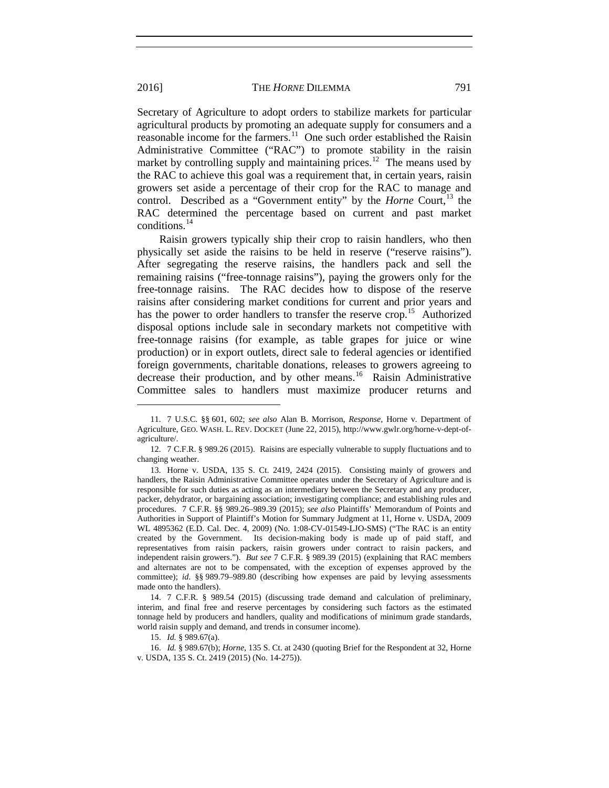Secretary of Agriculture to adopt orders to stabilize markets for particular agricultural products by promoting an adequate supply for consumers and a reasonable income for the farmers.[11](#page-5-0) One such order established the Raisin Administrative Committee ("RAC") to promote stability in the raisin market by controlling supply and maintaining prices.<sup>[12](#page-5-1)</sup> The means used by the RAC to achieve this goal was a requirement that, in certain years, raisin growers set aside a percentage of their crop for the RAC to manage and control. Described as a "Government entity" by the *Horne* Court,<sup>[13](#page-5-2)</sup> the RAC determined the percentage based on current and past market conditions.[14](#page-5-3)

Raisin growers typically ship their crop to raisin handlers, who then physically set aside the raisins to be held in reserve ("reserve raisins"). After segregating the reserve raisins, the handlers pack and sell the remaining raisins ("free-tonnage raisins"), paying the growers only for the free-tonnage raisins. The RAC decides how to dispose of the reserve raisins after considering market conditions for current and prior years and has the power to order handlers to transfer the reserve crop.<sup>[15](#page-5-4)</sup> Authorized disposal options include sale in secondary markets not competitive with free-tonnage raisins (for example, as table grapes for juice or wine production) or in export outlets, direct sale to federal agencies or identified foreign governments, charitable donations, releases to growers agreeing to decrease their production, and by other means.<sup>16</sup> Raisin Administrative Committee sales to handlers must maximize producer returns and

15. *Id.* § 989.67(a).

<span id="page-5-5"></span><span id="page-5-4"></span>16. *Id.* § 989.67(b); *Horne*, 135 S. Ct. at 2430 (quoting Brief for the Respondent at 32, Horne v. USDA, 135 S. Ct. 2419 (2015) (No. 14-275)).

<span id="page-5-0"></span><sup>11.</sup> 7 U.S.C. §§ 601, 602; *see also* Alan B. Morrison, *Response,* Horne v. Department of Agriculture, GEO. WASH. L. REV. DOCKET (June 22, 2015), http://www.gwlr.org/horne-v-dept-ofagriculture/.

<span id="page-5-1"></span><sup>12.</sup> 7 C.F.R. § 989.26 (2015). Raisins are especially vulnerable to supply fluctuations and to changing weather.

<span id="page-5-2"></span><sup>13.</sup> Horne v. USDA, 135 S. Ct. 2419, 2424 (2015). Consisting mainly of growers and handlers, the Raisin Administrative Committee operates under the Secretary of Agriculture and is responsible for such duties as acting as an intermediary between the Secretary and any producer, packer, dehydrator, or bargaining association; investigating compliance; and establishing rules and procedures. 7 C.F.R. §§ 989.26–989.39 (2015); *see also* Plaintiffs' Memorandum of Points and Authorities in Support of Plaintiff's Motion for Summary Judgment at 11, Horne v. USDA, 2009 WL 4895362 (E.D. Cal. Dec. 4, 2009) (No. 1:08-CV-01549-LJO-SMS) ("The RAC is an entity created by the Government. Its decision-making body is made up of paid staff, and representatives from raisin packers, raisin growers under contract to raisin packers, and independent raisin growers."). *But see* 7 C.F.R. § 989.39 (2015) (explaining that RAC members and alternates are not to be compensated, with the exception of expenses approved by the committee); *id.* §§ 989.79–989.80 (describing how expenses are paid by levying assessments made onto the handlers).

<span id="page-5-3"></span><sup>14.</sup> 7 C.F.R. § 989.54 (2015) (discussing trade demand and calculation of preliminary, interim, and final free and reserve percentages by considering such factors as the estimated tonnage held by producers and handlers, quality and modifications of minimum grade standards, world raisin supply and demand, and trends in consumer income).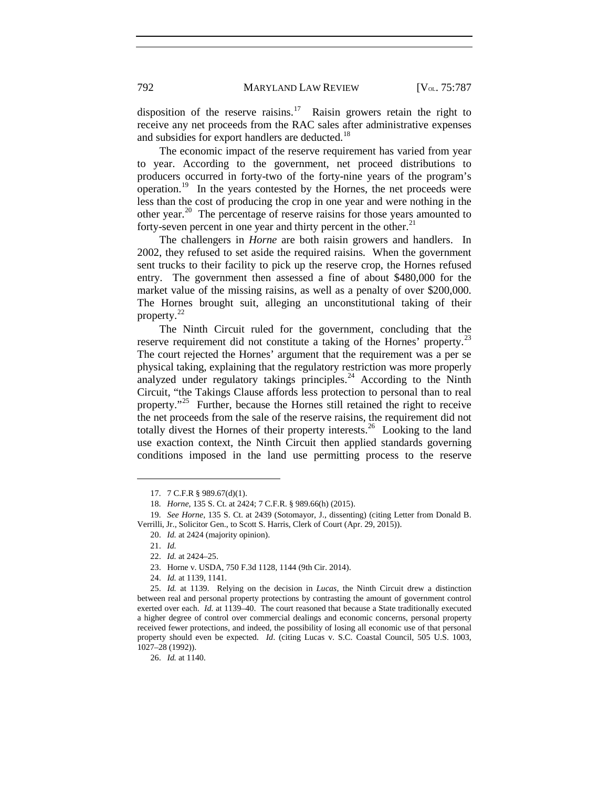disposition of the reserve raisins.<sup>17</sup> Raisin growers retain the right to receive any net proceeds from the RAC sales after administrative expenses and subsidies for export handlers are deducted.<sup>[18](#page-6-1)</sup>

The economic impact of the reserve requirement has varied from year to year. According to the government, net proceed distributions to producers occurred in forty-two of the forty-nine years of the program's operation.[19](#page-6-2) In the years contested by the Hornes, the net proceeds were less than the cost of producing the crop in one year and were nothing in the other year.<sup>20</sup> The percentage of reserve raisins for those years amounted to forty-seven percent in one year and thirty percent in the other.<sup>[21](#page-6-4)</sup>

The challengers in *Horne* are both raisin growers and handlers. In 2002, they refused to set aside the required raisins. When the government sent trucks to their facility to pick up the reserve crop, the Hornes refused entry. The government then assessed a fine of about \$480,000 for the market value of the missing raisins, as well as a penalty of over \$200,000. The Hornes brought suit, alleging an unconstitutional taking of their property.<sup>[22](#page-6-5)</sup>

The Ninth Circuit ruled for the government, concluding that the reserve requirement did not constitute a taking of the Hornes' property.<sup>[23](#page-6-6)</sup> The court rejected the Hornes' argument that the requirement was a per se physical taking, explaining that the regulatory restriction was more properly analyzed under regulatory takings principles. $24$  According to the Ninth Circuit, "the Takings Clause affords less protection to personal than to real property."[25](#page-6-8) Further, because the Hornes still retained the right to receive the net proceeds from the sale of the reserve raisins, the requirement did not totally divest the Hornes of their property interests.<sup>[26](#page-6-9)</sup> Looking to the land use exaction context, the Ninth Circuit then applied standards governing conditions imposed in the land use permitting process to the reserve

<sup>17.</sup> 7 C.F.R § 989.67(d)(1).

<sup>18.</sup> *Horne*, 135 S. Ct. at 2424; 7 C.F.R. § 989.66(h) (2015).

<span id="page-6-4"></span><span id="page-6-3"></span><span id="page-6-2"></span><span id="page-6-1"></span><span id="page-6-0"></span><sup>19.</sup> *See Horne*, 135 S. Ct. at 2439 (Sotomayor, J., dissenting) (citing Letter from Donald B. Verrilli, Jr., Solicitor Gen., to Scott S. Harris, Clerk of Court (Apr. 29, 2015)).

<sup>20.</sup> *Id.* at 2424 (majority opinion).

<sup>21.</sup> *Id.*

<sup>22.</sup> *Id.* at 2424–25.

<sup>23.</sup> Horne v. USDA, 750 F.3d 1128, 1144 (9th Cir. 2014).

<sup>24.</sup> *Id.* at 1139, 1141.

<span id="page-6-8"></span><span id="page-6-7"></span><span id="page-6-6"></span><span id="page-6-5"></span><sup>25.</sup> *Id.* at 1139. Relying on the decision in *Lucas*, the Ninth Circuit drew a distinction between real and personal property protections by contrasting the amount of government control exerted over each. *Id.* at 1139–40. The court reasoned that because a State traditionally executed a higher degree of control over commercial dealings and economic concerns, personal property received fewer protections, and indeed, the possibility of losing all economic use of that personal property should even be expected. *Id*. (citing Lucas v. S.C. Coastal Council, 505 U.S. 1003, 1027–28 (1992)).

<span id="page-6-9"></span><sup>26.</sup> *Id.* at 1140.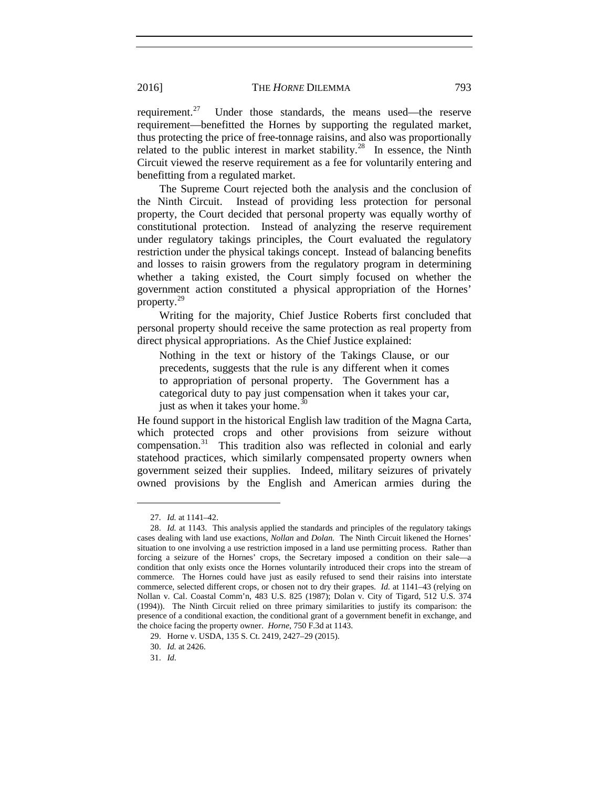requirement.<sup>[27](#page-7-0)</sup> Under those standards, the means used—the reserve requirement—benefitted the Hornes by supporting the regulated market, thus protecting the price of free-tonnage raisins, and also was proportionally related to the public interest in market stability.<sup>28</sup> In essence, the Ninth Circuit viewed the reserve requirement as a fee for voluntarily entering and benefitting from a regulated market.

The Supreme Court rejected both the analysis and the conclusion of the Ninth Circuit. Instead of providing less protection for personal property, the Court decided that personal property was equally worthy of constitutional protection. Instead of analyzing the reserve requirement under regulatory takings principles, the Court evaluated the regulatory restriction under the physical takings concept. Instead of balancing benefits and losses to raisin growers from the regulatory program in determining whether a taking existed, the Court simply focused on whether the government action constituted a physical appropriation of the Hornes' property.[29](#page-7-2)

Writing for the majority, Chief Justice Roberts first concluded that personal property should receive the same protection as real property from direct physical appropriations. As the Chief Justice explained:

Nothing in the text or history of the Takings Clause, or our precedents, suggests that the rule is any different when it comes to appropriation of personal property. The Government has a categorical duty to pay just compensation when it takes your car, just as when it takes your home.<sup>[30](#page-7-3)</sup>

He found support in the historical English law tradition of the Magna Carta, which protected crops and other provisions from seizure without compensation.<sup>[31](#page-7-4)</sup> This tradition also was reflected in colonial and early statehood practices, which similarly compensated property owners when government seized their supplies. Indeed, military seizures of privately owned provisions by the English and American armies during the

<sup>27.</sup> *Id.* at 1141–42.

<span id="page-7-1"></span><span id="page-7-0"></span><sup>28.</sup> *Id.* at 1143. This analysis applied the standards and principles of the regulatory takings cases dealing with land use exactions, *Nollan* and *Dolan*. The Ninth Circuit likened the Hornes' situation to one involving a use restriction imposed in a land use permitting process. Rather than forcing a seizure of the Hornes' crops, the Secretary imposed a condition on their sale—a condition that only exists once the Hornes voluntarily introduced their crops into the stream of commerce. The Hornes could have just as easily refused to send their raisins into interstate commerce, selected different crops, or chosen not to dry their grapes. *Id.* at 1141–43 (relying on Nollan v. Cal. Coastal Comm'n, 483 U.S. 825 (1987); Dolan v. City of Tigard, 512 U.S. 374 (1994)). The Ninth Circuit relied on three primary similarities to justify its comparison: the presence of a conditional exaction, the conditional grant of a government benefit in exchange, and the choice facing the property owner. *Horne*, 750 F.3d at 1143.

<span id="page-7-3"></span><span id="page-7-2"></span><sup>29.</sup> Horne v. USDA, 135 S. Ct. 2419, 2427–29 (2015).

<sup>30.</sup> *Id.* at 2426.

<span id="page-7-4"></span><sup>31.</sup> *Id*.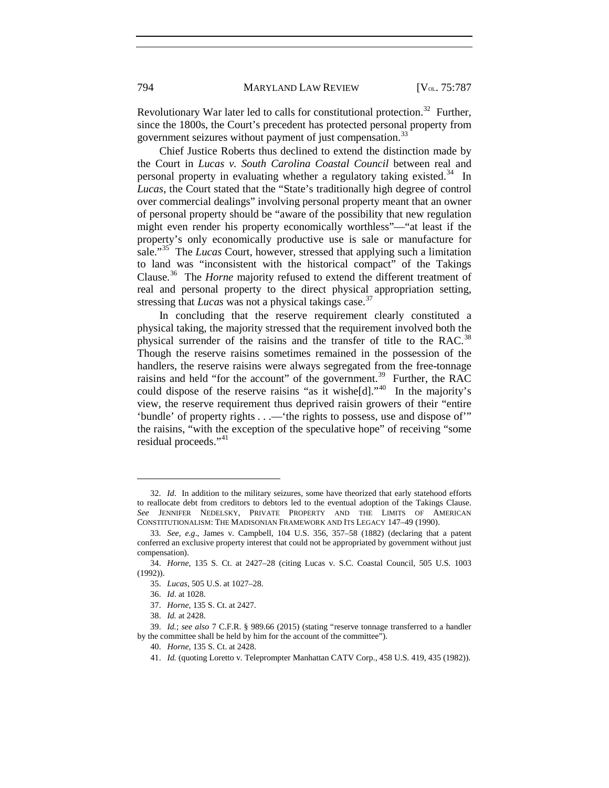Revolutionary War later led to calls for constitutional protection.<sup>32</sup> Further, since the 1800s, the Court's precedent has protected personal property from government seizures without payment of just compensation.<sup>[33](#page-8-1)</sup>

Chief Justice Roberts thus declined to extend the distinction made by the Court in *Lucas v. South Carolina Coastal Council* between real and personal property in evaluating whether a regulatory taking existed.<sup>[34](#page-8-2)</sup> In *Lucas*, the Court stated that the "State's traditionally high degree of control over commercial dealings" involving personal property meant that an owner of personal property should be "aware of the possibility that new regulation might even render his property economically worthless"—"at least if the property's only economically productive use is sale or manufacture for sale."[35](#page-8-3) The *Lucas* Court, however, stressed that applying such a limitation to land was "inconsistent with the historical compact" of the Takings Clause. [36](#page-8-4) The *Horne* majority refused to extend the different treatment of real and personal property to the direct physical appropriation setting, stressing that *Lucas* was not a physical takings case.<sup>[37](#page-8-5)</sup>

In concluding that the reserve requirement clearly constituted a physical taking, the majority stressed that the requirement involved both the physical surrender of the raisins and the transfer of title to the RAC.<sup>[38](#page-8-6)</sup> Though the reserve raisins sometimes remained in the possession of the handlers, the reserve raisins were always segregated from the free-tonnage raisins and held "for the account" of the government.<sup>[39](#page-8-7)</sup> Further, the RAC could dispose of the reserve raisins "as it wisheld]."<sup>[40](#page-8-8)</sup> In the majority's view, the reserve requirement thus deprived raisin growers of their "entire 'bundle' of property rights . . .—'the rights to possess, use and dispose of'" the raisins, "with the exception of the speculative hope" of receiving "some residual proceeds."<sup>[41](#page-8-9)</sup>

 $\overline{a}$ 

40. *Horne*, 135 S. Ct. at 2428.

<span id="page-8-0"></span><sup>32.</sup> *Id*. In addition to the military seizures, some have theorized that early statehood efforts to reallocate debt from creditors to debtors led to the eventual adoption of the Takings Clause. *See* JENNIFER NEDELSKY, PRIVATE PROPERTY AND THE LIMITS OF AMERICAN CONSTITUTIONALISM: THE MADISONIAN FRAMEWORK AND ITS LEGACY 147–49 (1990).

<span id="page-8-1"></span><sup>33.</sup> *See, e.g*., James v. Campbell, 104 U.S. 356, 357–58 (1882) (declaring that a patent conferred an exclusive property interest that could not be appropriated by government without just compensation).

<span id="page-8-4"></span><span id="page-8-3"></span><span id="page-8-2"></span><sup>34.</sup> *Horne*, 135 S. Ct. at 2427–28 (citing Lucas v. S.C. Coastal Council, 505 U.S. 1003 (1992)).

<sup>35.</sup> *Lucas*, 505 U.S. at 1027–28.

<sup>36.</sup> *Id*. at 1028.

<sup>37.</sup> *Horne*, 135 S. Ct. at 2427.

<sup>38.</sup> *Id.* at 2428.

<span id="page-8-9"></span><span id="page-8-8"></span><span id="page-8-7"></span><span id="page-8-6"></span><span id="page-8-5"></span><sup>39.</sup> *Id.*; *see also* 7 C.F.R. § 989.66 (2015) (stating "reserve tonnage transferred to a handler by the committee shall be held by him for the account of the committee").

<sup>41.</sup> *Id.* (quoting Loretto v. Teleprompter Manhattan CATV Corp., 458 U.S. 419, 435 (1982)).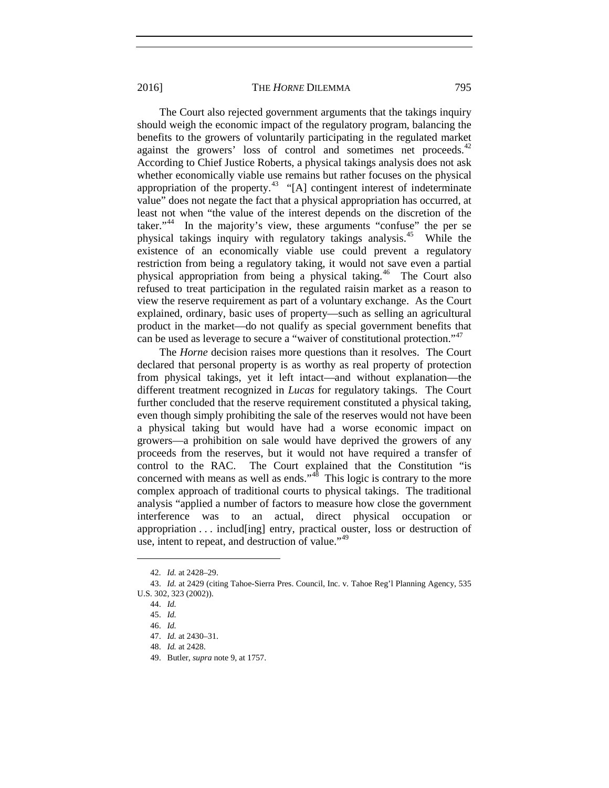The Court also rejected government arguments that the takings inquiry should weigh the economic impact of the regulatory program, balancing the benefits to the growers of voluntarily participating in the regulated market against the growers' loss of control and sometimes net proceeds.<sup>[42](#page-9-0)</sup> According to Chief Justice Roberts, a physical takings analysis does not ask whether economically viable use remains but rather focuses on the physical appropriation of the property.<sup>[43](#page-9-1)</sup> "[A] contingent interest of indeterminate value" does not negate the fact that a physical appropriation has occurred, at least not when "the value of the interest depends on the discretion of the taker."<sup>[44](#page-9-2)</sup> In the majority's view, these arguments "confuse" the per se physical takings inquiry with regulatory takings analysis.[45](#page-9-3) While the existence of an economically viable use could prevent a regulatory restriction from being a regulatory taking, it would not save even a partial physical appropriation from being a physical taking.[46](#page-9-4) The Court also refused to treat participation in the regulated raisin market as a reason to view the reserve requirement as part of a voluntary exchange. As the Court explained, ordinary, basic uses of property—such as selling an agricultural product in the market—do not qualify as special government benefits that can be used as leverage to secure a "waiver of constitutional protection."<sup>[47](#page-9-5)</sup>

The *Horne* decision raises more questions than it resolves. The Court declared that personal property is as worthy as real property of protection from physical takings, yet it left intact—and without explanation—the different treatment recognized in *Lucas* for regulatory takings. The Court further concluded that the reserve requirement constituted a physical taking, even though simply prohibiting the sale of the reserves would not have been a physical taking but would have had a worse economic impact on growers—a prohibition on sale would have deprived the growers of any proceeds from the reserves, but it would not have required a transfer of control to the RAC. The Court explained that the Constitution "is concerned with means as well as ends."<sup>48</sup> This logic is contrary to the more complex approach of traditional courts to physical takings. The traditional analysis "applied a number of factors to measure how close the government interference was to an actual, direct physical occupation or appropriation . . . includ[ing] entry, practical ouster, loss or destruction of use, intent to repeat, and destruction of value."<sup>[49](#page-9-7)</sup>

<sup>42.</sup> *Id.* at 2428–29.

<span id="page-9-5"></span><span id="page-9-4"></span><span id="page-9-3"></span><span id="page-9-2"></span><span id="page-9-1"></span><span id="page-9-0"></span><sup>43.</sup> *Id.* at 2429 (citing Tahoe-Sierra Pres. Council, Inc. v. Tahoe Reg'l Planning Agency, 535 U.S. 302, 323 (2002)).

<sup>44.</sup> *Id.*

<sup>45.</sup> *Id.*

<sup>46.</sup> *Id.*

<sup>47.</sup> *Id.* at 2430–31.

<span id="page-9-7"></span><span id="page-9-6"></span><sup>48.</sup> *Id.* at 2428.

<sup>49.</sup> Butler, *supra* note [9,](#page-4-3) at 1757.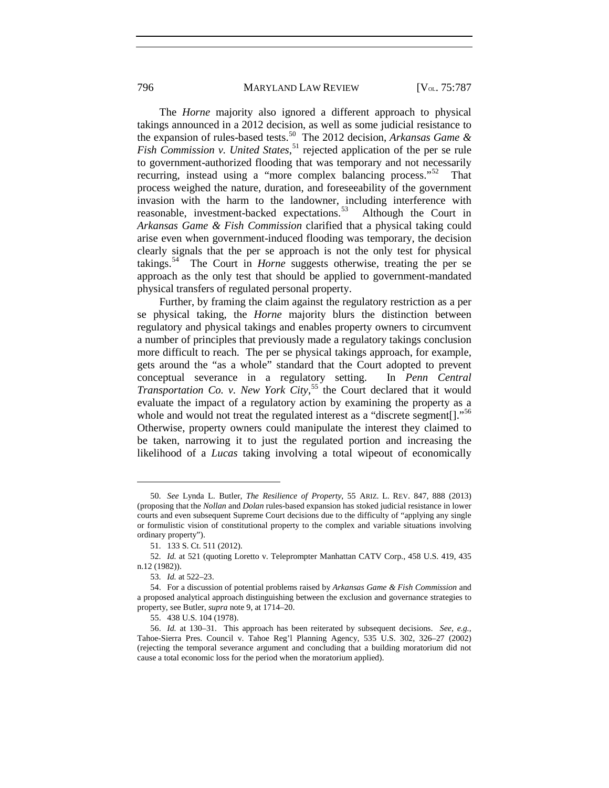The *Horne* majority also ignored a different approach to physical takings announced in a 2012 decision, as well as some judicial resistance to the expansion of rules-based tests.[50](#page-10-0) The 2012 decision, *Arkansas Game &*  Fish Commission v. United States,<sup>[51](#page-10-1)</sup> rejected application of the per se rule to government-authorized flooding that was temporary and not necessarily recurring, instead using a "more complex balancing process."[52](#page-10-2) That process weighed the nature, duration, and foreseeability of the government invasion with the harm to the landowner, including interference with reasonable, investment-backed expectations.<sup>[53](#page-10-3)</sup> Although the Court in *Arkansas Game & Fish Commission* clarified that a physical taking could arise even when government-induced flooding was temporary, the decision clearly signals that the per se approach is not the only test for physical takings.[54](#page-10-4) The Court in *Horne* suggests otherwise, treating the per se approach as the only test that should be applied to government-mandated physical transfers of regulated personal property.

Further, by framing the claim against the regulatory restriction as a per se physical taking, the *Horne* majority blurs the distinction between regulatory and physical takings and enables property owners to circumvent a number of principles that previously made a regulatory takings conclusion more difficult to reach. The per se physical takings approach, for example, gets around the "as a whole" standard that the Court adopted to prevent conceptual severance in a regulatory setting. In *Penn Central Transportation Co. v. New York City*, [55](#page-10-5) the Court declared that it would evaluate the impact of a regulatory action by examining the property as a whole and would not treat the regulated interest as a "discrete segment.<sup>[56](#page-10-6)</sup>" Otherwise, property owners could manipulate the interest they claimed to be taken, narrowing it to just the regulated portion and increasing the likelihood of a *Lucas* taking involving a total wipeout of economically

<span id="page-10-0"></span><sup>50.</sup> *See* Lynda L. Butler, *The Resilience of Property*, 55 ARIZ. L. REV. 847, 888 (2013) (proposing that the *Nollan* and *Dolan* rules-based expansion has stoked judicial resistance in lower courts and even subsequent Supreme Court decisions due to the difficulty of "applying any single or formulistic vision of constitutional property to the complex and variable situations involving ordinary property").

<sup>51.</sup> 133 S. Ct. 511 (2012).

<span id="page-10-2"></span><span id="page-10-1"></span><sup>52.</sup> *Id.* at 521 (quoting Loretto v. Teleprompter Manhattan CATV Corp., 458 U.S. 419, 435 n.12 (1982)).

<sup>53.</sup> *Id.* at 522–23.

<span id="page-10-4"></span><span id="page-10-3"></span><sup>54.</sup> For a discussion of potential problems raised by *Arkansas Game & Fish Commission* and a proposed analytical approach distinguishing between the exclusion and governance strategies to property, see Butler, *supra* note [9,](#page-4-3) at 1714–20.

<sup>55.</sup> 438 U.S. 104 (1978).

<span id="page-10-6"></span><span id="page-10-5"></span><sup>56.</sup> *Id.* at 130–31. This approach has been reiterated by subsequent decisions. *See, e.g.*, Tahoe-Sierra Pres. Council v. Tahoe Reg'l Planning Agency, 535 U.S. 302, 326–27 (2002) (rejecting the temporal severance argument and concluding that a building moratorium did not cause a total economic loss for the period when the moratorium applied).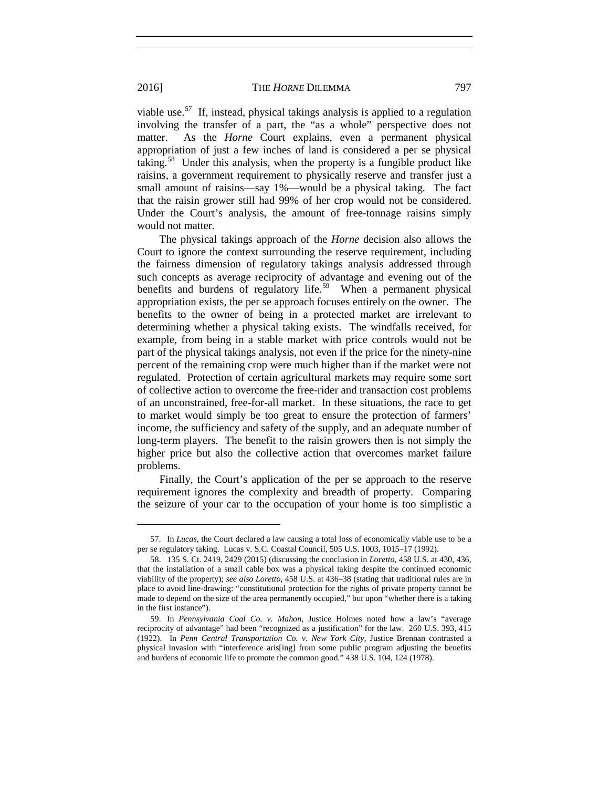viable use.<sup>57</sup> If, instead, physical takings analysis is applied to a regulation involving the transfer of a part, the "as a whole" perspective does not matter. As the *Horne* Court explains, even a permanent physical appropriation of just a few inches of land is considered a per se physical taking.<sup>58</sup> Under this analysis, when the property is a fungible product like raisins, a government requirement to physically reserve and transfer just a small amount of raisins—say 1%—would be a physical taking. The fact that the raisin grower still had 99% of her crop would not be considered. Under the Court's analysis, the amount of free-tonnage raisins simply would not matter.

The physical takings approach of the *Horne* decision also allows the Court to ignore the context surrounding the reserve requirement, including the fairness dimension of regulatory takings analysis addressed through such concepts as average reciprocity of advantage and evening out of the benefits and burdens of regulatory life.<sup>[59](#page-11-2)</sup> When a permanent physical appropriation exists, the per se approach focuses entirely on the owner. The benefits to the owner of being in a protected market are irrelevant to determining whether a physical taking exists. The windfalls received, for example, from being in a stable market with price controls would not be part of the physical takings analysis, not even if the price for the ninety-nine percent of the remaining crop were much higher than if the market were not regulated. Protection of certain agricultural markets may require some sort of collective action to overcome the free-rider and transaction cost problems of an unconstrained, free-for-all market. In these situations, the race to get to market would simply be too great to ensure the protection of farmers' income, the sufficiency and safety of the supply, and an adequate number of long-term players. The benefit to the raisin growers then is not simply the higher price but also the collective action that overcomes market failure problems.

Finally, the Court's application of the per se approach to the reserve requirement ignores the complexity and breadth of property. Comparing the seizure of your car to the occupation of your home is too simplistic a

<span id="page-11-0"></span><sup>57.</sup> In *Lucas*, the Court declared a law causing a total loss of economically viable use to be a per se regulatory taking. Lucas v. S.C. Coastal Council, 505 U.S. 1003, 1015–17 (1992).

<span id="page-11-1"></span><sup>58.</sup> 135 S. Ct. 2419, 2429 (2015) (discussing the conclusion in *Loretto*, 458 U.S. at 430, 436, that the installation of a small cable box was a physical taking despite the continued economic viability of the property); *see also Loretto*, 458 U.S. at 436–38 (stating that traditional rules are in place to avoid line-drawing: "constitutional protection for the rights of private property cannot be made to depend on the size of the area permanently occupied," but upon "whether there is a taking in the first instance").

<span id="page-11-2"></span><sup>59.</sup> In *Pennsylvania Coal Co. v. Mahon*, Justice Holmes noted how a law's "average reciprocity of advantage" had been "recognized as a justification" for the law. 260 U.S. 393, 415 (1922). In *Penn Central Transportation Co. v. New York City*, Justice Brennan contrasted a physical invasion with "interference aris[ing] from some public program adjusting the benefits and burdens of economic life to promote the common good." 438 U.S. 104, 124 (1978).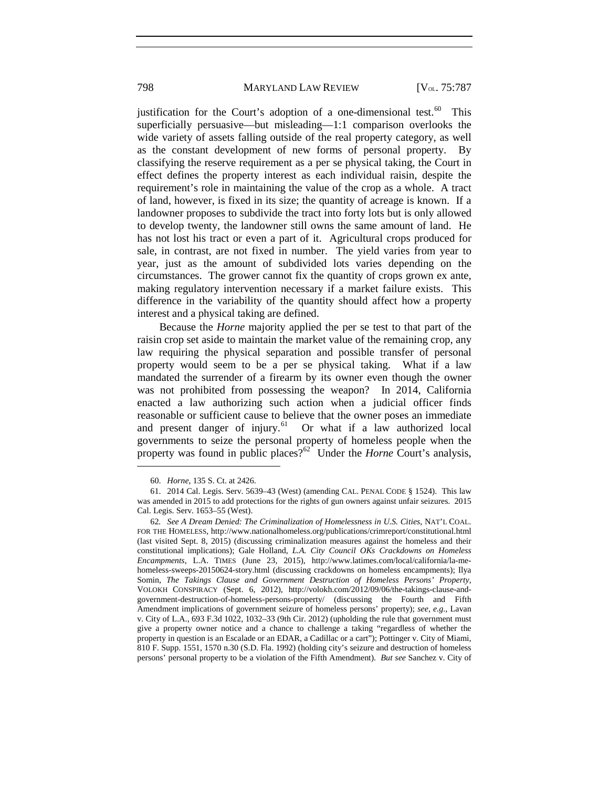justification for the Court's adoption of a one-dimensional test.<sup>60</sup> This superficially persuasive—but misleading—1:1 comparison overlooks the wide variety of assets falling outside of the real property category, as well as the constant development of new forms of personal property. By classifying the reserve requirement as a per se physical taking, the Court in effect defines the property interest as each individual raisin, despite the requirement's role in maintaining the value of the crop as a whole. A tract of land, however, is fixed in its size; the quantity of acreage is known. If a landowner proposes to subdivide the tract into forty lots but is only allowed to develop twenty, the landowner still owns the same amount of land. He has not lost his tract or even a part of it. Agricultural crops produced for sale, in contrast, are not fixed in number. The yield varies from year to year, just as the amount of subdivided lots varies depending on the circumstances. The grower cannot fix the quantity of crops grown ex ante, making regulatory intervention necessary if a market failure exists. This difference in the variability of the quantity should affect how a property interest and a physical taking are defined.

Because the *Horne* majority applied the per se test to that part of the raisin crop set aside to maintain the market value of the remaining crop, any law requiring the physical separation and possible transfer of personal property would seem to be a per se physical taking. What if a law mandated the surrender of a firearm by its owner even though the owner was not prohibited from possessing the weapon? In 2014, California enacted a law authorizing such action when a judicial officer finds reasonable or sufficient cause to believe that the owner poses an immediate and present danger of injury.<sup>[61](#page-12-1)</sup> Or what if a law authorized local governments to seize the personal property of homeless people when the property was found in public places?<sup>[62](#page-12-2)</sup> Under the *Horne* Court's analysis,

<sup>60.</sup> *Horne*, 135 S. Ct. at 2426.

<span id="page-12-1"></span><span id="page-12-0"></span><sup>61.</sup> 2014 Cal. Legis. Serv. 5639–43 (West) (amending CAL. PENAL CODE § 1524). This law was amended in 2015 to add protections for the rights of gun owners against unfair seizures. 2015 Cal. Legis. Serv. 1653–55 (West).

<span id="page-12-2"></span><sup>62</sup>*. See A Dream Denied: The Criminalization of Homelessness in U.S. Cities*, NAT'L COAL. FOR THE HOMELESS, http://www.nationalhomeless.org/publications/crimreport/constitutional.html (last visited Sept. 8, 2015) (discussing criminalization measures against the homeless and their constitutional implications); Gale Holland, *L.A. City Council OKs Crackdowns on Homeless Encampments*, L.A. TIMES (June 23, 2015), http://www.latimes.com/local/california/la-mehomeless-sweeps-20150624-story.html (discussing crackdowns on homeless encampments); Ilya Somin, *The Takings Clause and Government Destruction of Homeless Persons' Property*, VOLOKH CONSPIRACY (Sept. 6, 2012), http://volokh.com/2012/09/06/the-takings-clause-andgovernment-destruction-of-homeless-persons-property/ (discussing the Fourth and Fifth Amendment implications of government seizure of homeless persons' property); *see, e.g.*, Lavan v. City of L.A., 693 F.3d 1022, 1032–33 (9th Cir. 2012) (upholding the rule that government must give a property owner notice and a chance to challenge a taking "regardless of whether the property in question is an Escalade or an EDAR, a Cadillac or a cart"); Pottinger v. City of Miami, 810 F. Supp. 1551, 1570 n.30 (S.D. Fla. 1992) (holding city's seizure and destruction of homeless persons' personal property to be a violation of the Fifth Amendment). *But see* Sanchez v. City of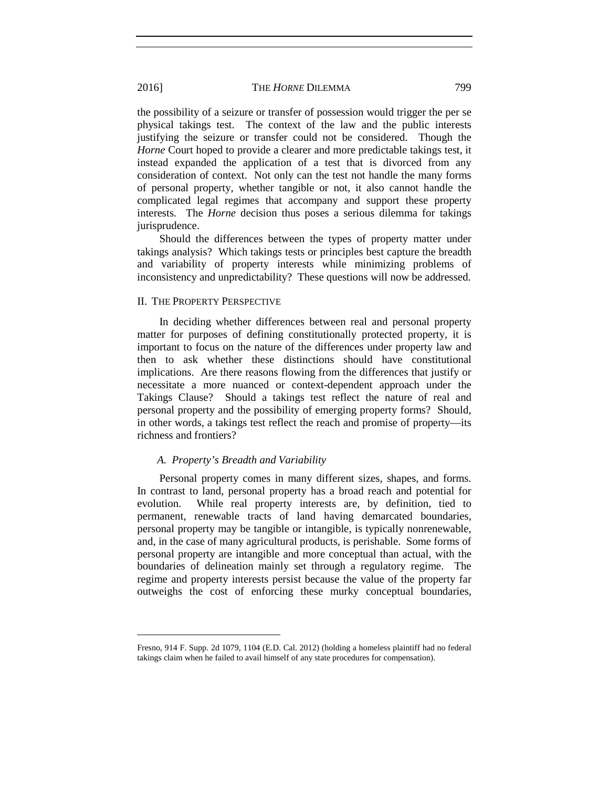the possibility of a seizure or transfer of possession would trigger the per se physical takings test. The context of the law and the public interests justifying the seizure or transfer could not be considered. Though the *Horne* Court hoped to provide a clearer and more predictable takings test, it instead expanded the application of a test that is divorced from any consideration of context. Not only can the test not handle the many forms of personal property, whether tangible or not, it also cannot handle the complicated legal regimes that accompany and support these property interests. The *Horne* decision thus poses a serious dilemma for takings jurisprudence.

Should the differences between the types of property matter under takings analysis? Which takings tests or principles best capture the breadth and variability of property interests while minimizing problems of inconsistency and unpredictability? These questions will now be addressed.

#### II. THE PROPERTY PERSPECTIVE

In deciding whether differences between real and personal property matter for purposes of defining constitutionally protected property, it is important to focus on the nature of the differences under property law and then to ask whether these distinctions should have constitutional implications. Are there reasons flowing from the differences that justify or necessitate a more nuanced or context-dependent approach under the Takings Clause? Should a takings test reflect the nature of real and personal property and the possibility of emerging property forms? Should, in other words, a takings test reflect the reach and promise of property—its richness and frontiers?

## *A. Property's Breadth and Variability*

Personal property comes in many different sizes, shapes, and forms. In contrast to land, personal property has a broad reach and potential for evolution. While real property interests are, by definition, tied to permanent, renewable tracts of land having demarcated boundaries, personal property may be tangible or intangible, is typically nonrenewable, and, in the case of many agricultural products, is perishable. Some forms of personal property are intangible and more conceptual than actual, with the boundaries of delineation mainly set through a regulatory regime. The regime and property interests persist because the value of the property far outweighs the cost of enforcing these murky conceptual boundaries,

Fresno, 914 F. Supp. 2d 1079, 1104 (E.D. Cal. 2012) (holding a homeless plaintiff had no federal takings claim when he failed to avail himself of any state procedures for compensation).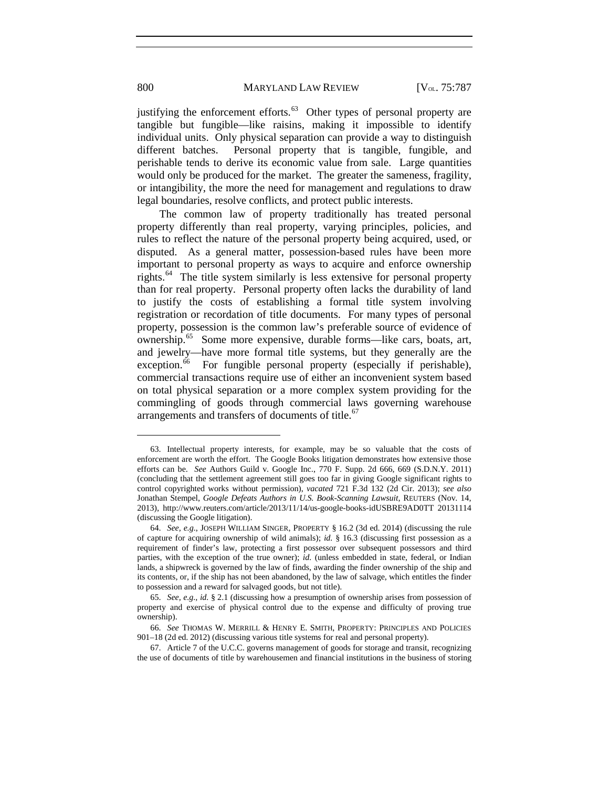justifying the enforcement efforts. $63$  Other types of personal property are tangible but fungible—like raisins, making it impossible to identify individual units. Only physical separation can provide a way to distinguish different batches. Personal property that is tangible, fungible, and perishable tends to derive its economic value from sale. Large quantities would only be produced for the market. The greater the sameness, fragility, or intangibility, the more the need for management and regulations to draw legal boundaries, resolve conflicts, and protect public interests.

The common law of property traditionally has treated personal property differently than real property, varying principles, policies, and rules to reflect the nature of the personal property being acquired, used, or disputed. As a general matter, possession-based rules have been more important to personal property as ways to acquire and enforce ownership rights.[64](#page-14-1) The title system similarly is less extensive for personal property than for real property. Personal property often lacks the durability of land to justify the costs of establishing a formal title system involving registration or recordation of title documents. For many types of personal property, possession is the common law's preferable source of evidence of ownership.[65](#page-14-2) Some more expensive, durable forms—like cars, boats, art, and jewelry—have more formal title systems, but they generally are the exception.<sup>[66](#page-14-3)</sup> For fungible personal property (especially if perishable), commercial transactions require use of either an inconvenient system based on total physical separation or a more complex system providing for the commingling of goods through commercial laws governing warehouse arrangements and transfers of documents of title.<sup>[67](#page-14-4)</sup>

<span id="page-14-5"></span><span id="page-14-0"></span><sup>63.</sup> Intellectual property interests, for example, may be so valuable that the costs of enforcement are worth the effort. The Google Books litigation demonstrates how extensive those efforts can be. *See* Authors Guild v. Google Inc., 770 F. Supp. 2d 666, 669 (S.D.N.Y. 2011) (concluding that the settlement agreement still goes too far in giving Google significant rights to control copyrighted works without permission), *vacated* 721 F.3d 132 (2d Cir. 2013); *see also*  Jonathan Stempel, *Google Defeats Authors in U.S. Book-Scanning Lawsuit*, REUTERS (Nov. 14, 2013), http://www.reuters.com/article/2013/11/14/us-google-books-idUSBRE9AD0TT 20131114 (discussing the Google litigation).

<span id="page-14-1"></span><sup>64.</sup> *See, e.g.*, JOSEPH WILLIAM SINGER, PROPERTY § 16.2 (3d ed. 2014) (discussing the rule of capture for acquiring ownership of wild animals); *id.* § 16.3 (discussing first possession as a requirement of finder's law, protecting a first possessor over subsequent possessors and third parties, with the exception of the true owner); *id.* (unless embedded in state, federal, or Indian lands, a shipwreck is governed by the law of finds, awarding the finder ownership of the ship and its contents, or, if the ship has not been abandoned, by the law of salvage, which entitles the finder to possession and a reward for salvaged goods, but not title).

<span id="page-14-2"></span><sup>65.</sup> *See, e.g.*, *id.* § 2.1 (discussing how a presumption of ownership arises from possession of property and exercise of physical control due to the expense and difficulty of proving true ownership).

<span id="page-14-3"></span><sup>66.</sup> *See* THOMAS W. MERRILL & HENRY E. SMITH, PROPERTY: PRINCIPLES AND POLICIES 901–18 (2d ed. 2012) (discussing various title systems for real and personal property).

<span id="page-14-4"></span><sup>67.</sup> Article 7 of the U.C.C. governs management of goods for storage and transit, recognizing the use of documents of title by warehousemen and financial institutions in the business of storing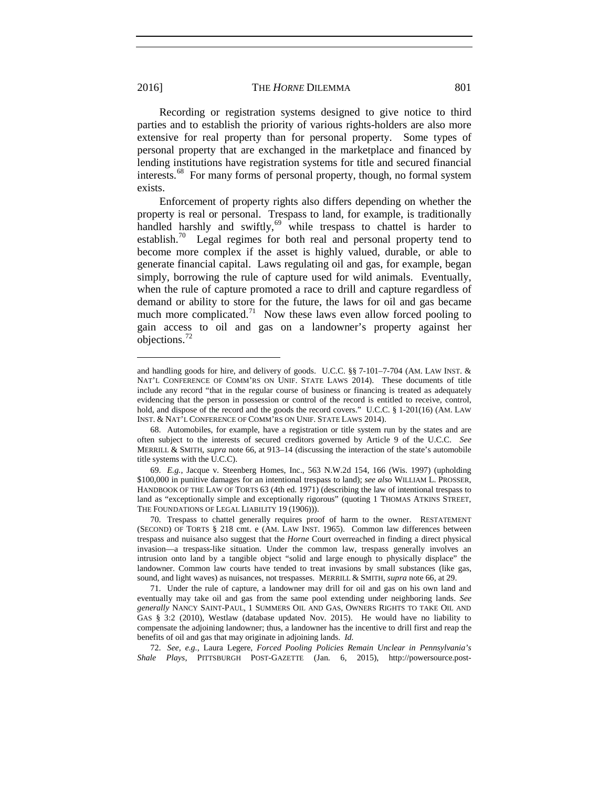Recording or registration systems designed to give notice to third parties and to establish the priority of various rights-holders are also more extensive for real property than for personal property. Some types of personal property that are exchanged in the marketplace and financed by lending institutions have registration systems for title and secured financial interests.[68](#page-15-0) For many forms of personal property, though, no formal system exists.

Enforcement of property rights also differs depending on whether the property is real or personal. Trespass to land, for example, is traditionally handled harshly and swiftly, $69$  while trespass to chattel is harder to establish.<sup>70</sup> Legal regimes for both real and personal property tend to become more complex if the asset is highly valued, durable, or able to generate financial capital. Laws regulating oil and gas, for example, began simply, borrowing the rule of capture used for wild animals. Eventually, when the rule of capture promoted a race to drill and capture regardless of demand or ability to store for the future, the laws for oil and gas became much more complicated.<sup>[71](#page-15-3)</sup> Now these laws even allow forced pooling to gain access to oil and gas on a landowner's property against her objections.[72](#page-15-4)

<span id="page-15-4"></span>72. *See, e.g.*, Laura Legere, *Forced Pooling Policies Remain Unclear in Pennsylvania's Shale Plays*, PITTSBURGH POST-GAZETTE (Jan. 6, 2015), http://powersource.post-

and handling goods for hire, and delivery of goods. U.C.C. §§ 7-101–7-704 (AM. LAW INST. & NAT'L CONFERENCE OF COMM'RS ON UNIF. STATE LAWS 2014). These documents of title include any record "that in the regular course of business or financing is treated as adequately evidencing that the person in possession or control of the record is entitled to receive, control, hold, and dispose of the record and the goods the record covers." U.C.C. § 1-201(16) (AM. LAW INST. & NAT'L CONFERENCE OF COMM'RS ON UNIF. STATE LAWS 2014).

<span id="page-15-0"></span><sup>68.</sup> Automobiles, for example, have a registration or title system run by the states and are often subject to the interests of secured creditors governed by Article 9 of the U.C.C. *See*  MERRILL & SMITH, *supra* note [66,](#page-14-5) at 913–14 (discussing the interaction of the state's automobile title systems with the U.C.C).

<span id="page-15-1"></span><sup>69.</sup> *E.g.*, Jacque v. Steenberg Homes, Inc., 563 N.W.2d 154, 166 (Wis. 1997) (upholding \$100,000 in punitive damages for an intentional trespass to land); *see also* WILLIAM L. PROSSER, HANDBOOK OF THE LAW OF TORTS 63 (4th ed. 1971) (describing the law of intentional trespass to land as "exceptionally simple and exceptionally rigorous" (quoting 1 THOMAS ATKINS STREET, THE FOUNDATIONS OF LEGAL LIABILITY 19 (1906))).

<span id="page-15-2"></span><sup>70.</sup> Trespass to chattel generally requires proof of harm to the owner. RESTATEMENT (SECOND) OF TORTS § 218 cmt. e (AM. LAW INST. 1965). Common law differences between trespass and nuisance also suggest that the *Horne* Court overreached in finding a direct physical invasion—a trespass-like situation. Under the common law, trespass generally involves an intrusion onto land by a tangible object "solid and large enough to physically displace" the landowner. Common law courts have tended to treat invasions by small substances (like gas, sound, and light waves) as nuisances, not trespasses. MERRILL & SMITH, *supra* note [66,](#page-14-5) at 29.

<span id="page-15-3"></span><sup>71.</sup> Under the rule of capture, a landowner may drill for oil and gas on his own land and eventually may take oil and gas from the same pool extending under neighboring lands. *See generally* NANCY SAINT-PAUL, 1 SUMMERS OIL AND GAS, OWNERS RIGHTS TO TAKE OIL AND GAS § 3:2 (2010), Westlaw (database updated Nov. 2015). He would have no liability to compensate the adjoining landowner; thus, a landowner has the incentive to drill first and reap the benefits of oil and gas that may originate in adjoining lands. *Id.*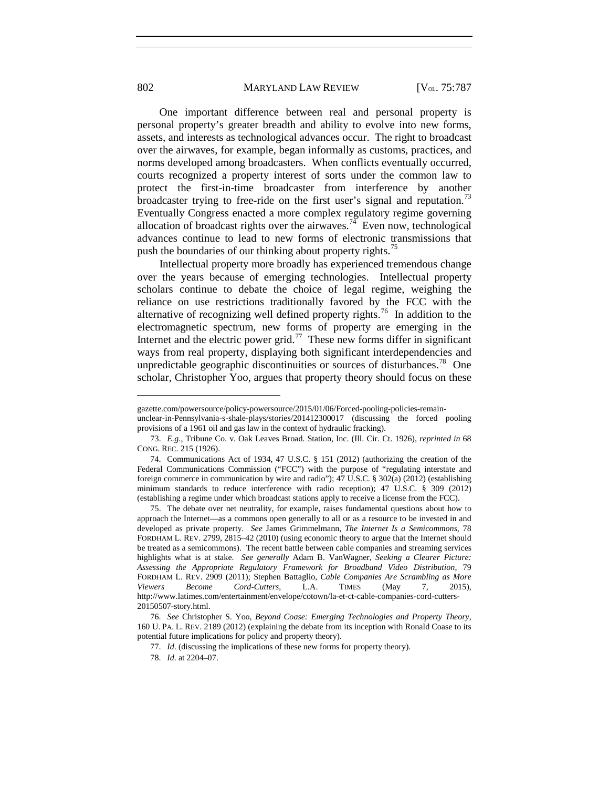One important difference between real and personal property is personal property's greater breadth and ability to evolve into new forms, assets, and interests as technological advances occur. The right to broadcast over the airwaves, for example, began informally as customs, practices, and norms developed among broadcasters. When conflicts eventually occurred, courts recognized a property interest of sorts under the common law to protect the first-in-time broadcaster from interference by another broadcaster trying to free-ride on the first user's signal and reputation.<sup>[73](#page-16-0)</sup> Eventually Congress enacted a more complex regulatory regime governing allocation of broadcast rights over the airwaves.<sup>[74](#page-16-1)</sup> Even now, technological advances continue to lead to new forms of electronic transmissions that push the boundaries of our thinking about property rights.<sup>[75](#page-16-2)</sup>

Intellectual property more broadly has experienced tremendous change over the years because of emerging technologies. Intellectual property scholars continue to debate the choice of legal regime, weighing the reliance on use restrictions traditionally favored by the FCC with the alternative of recognizing well defined property rights.[76](#page-16-3) In addition to the electromagnetic spectrum, new forms of property are emerging in the Internet and the electric power grid.<sup>77</sup> These new forms differ in significant ways from real property, displaying both significant interdependencies and unpredictable geographic discontinuities or sources of disturbances.<sup>78</sup> One scholar, Christopher Yoo, argues that property theory should focus on these

gazette.com/powersource/policy-powersource/2015/01/06/Forced-pooling-policies-remain-

unclear-in-Pennsylvania-s-shale-plays/stories/201412300017 (discussing the forced pooling provisions of a 1961 oil and gas law in the context of hydraulic fracking).

<span id="page-16-0"></span><sup>73.</sup> *E.g.*, Tribune Co. v. Oak Leaves Broad. Station, Inc. (Ill. Cir. Ct. 1926), *reprinted in* 68 CONG. REC. 215 (1926).

<span id="page-16-1"></span><sup>74.</sup> Communications Act of 1934, 47 U.S.C. § 151 (2012) (authorizing the creation of the Federal Communications Commission ("FCC") with the purpose of "regulating interstate and foreign commerce in communication by wire and radio"); 47 U.S.C. § 302(a) (2012) (establishing minimum standards to reduce interference with radio reception); 47 U.S.C. § 309 (2012) (establishing a regime under which broadcast stations apply to receive a license from the FCC).

<span id="page-16-2"></span><sup>75.</sup> The debate over net neutrality, for example, raises fundamental questions about how to approach the Internet—as a commons open generally to all or as a resource to be invested in and developed as private property. *See* James Grimmelmann, *The Internet Is a Semicommons*, 78 FORDHAM L. REV. 2799, 2815–42 (2010) (using economic theory to argue that the Internet should be treated as a semicommons). The recent battle between cable companies and streaming services highlights what is at stake. *See generally* Adam B. VanWagner, *Seeking a Clearer Picture: Assessing the Appropriate Regulatory Framework for Broadband Video Distribution*, 79 FORDHAM L. REV. 2909 (2011); Stephen Battaglio, *Cable Companies Are Scrambling as More Viewers Become Cord-Cutters*, L.A. TIMES (May 7, 2015), http://www.latimes.com/entertainment/envelope/cotown/la-et-ct-cable-companies-cord-cutters-20150507-story.html.

<span id="page-16-5"></span><span id="page-16-4"></span><span id="page-16-3"></span><sup>76.</sup> *See* Christopher S. Yoo, *Beyond Coase: Emerging Technologies and Property Theory*, 160 U. PA. L. REV. 2189 (2012) (explaining the debate from its inception with Ronald Coase to its potential future implications for policy and property theory).

<sup>77.</sup> *Id*. (discussing the implications of these new forms for property theory).

<sup>78.</sup> *Id*. at 2204–07.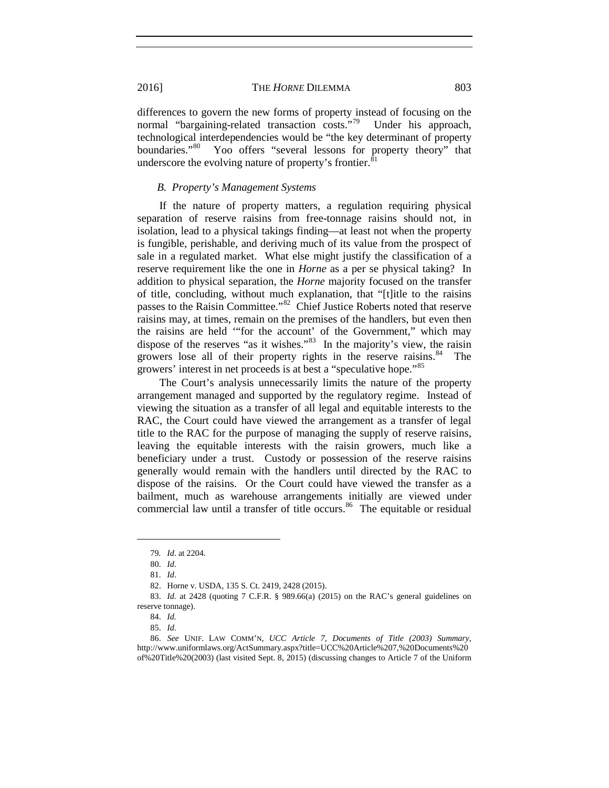differences to govern the new forms of property instead of focusing on the normal "bargaining-related transaction costs."<sup>79</sup> Under his approach, technological interdependencies would be "the key determinant of property boundaries."<sup>[80](#page-17-1)</sup> Yoo offers "several lessons for property theory" that underscore the evolving nature of property's frontier.<sup>8</sup>

#### *B. Property's Management Systems*

If the nature of property matters, a regulation requiring physical separation of reserve raisins from free-tonnage raisins should not, in isolation, lead to a physical takings finding—at least not when the property is fungible, perishable, and deriving much of its value from the prospect of sale in a regulated market. What else might justify the classification of a reserve requirement like the one in *Horne* as a per se physical taking? In addition to physical separation, the *Horne* majority focused on the transfer of title, concluding, without much explanation, that "[t]itle to the raisins passes to the Raisin Committee."[82](#page-17-3) Chief Justice Roberts noted that reserve raisins may, at times, remain on the premises of the handlers, but even then the raisins are held '"for the account' of the Government," which may dispose of the reserves "as it wishes."[83](#page-17-4) In the majority's view, the raisin growers lose all of their property rights in the reserve raisins.<sup>[84](#page-17-5)</sup> The growers' interest in net proceeds is at best a "speculative hope."<sup>[85](#page-17-6)</sup>

The Court's analysis unnecessarily limits the nature of the property arrangement managed and supported by the regulatory regime. Instead of viewing the situation as a transfer of all legal and equitable interests to the RAC, the Court could have viewed the arrangement as a transfer of legal title to the RAC for the purpose of managing the supply of reserve raisins, leaving the equitable interests with the raisin growers, much like a beneficiary under a trust. Custody or possession of the reserve raisins generally would remain with the handlers until directed by the RAC to dispose of the raisins. Or the Court could have viewed the transfer as a bailment, much as warehouse arrangements initially are viewed under commercial law until a transfer of title occurs.<sup>86</sup> The equitable or residual

<sup>79</sup>*. Id*. at 2204.

<sup>80.</sup> *Id*.

<sup>81.</sup> *Id*.

<sup>82.</sup> Horne v. USDA, 135 S. Ct. 2419, 2428 (2015).

<span id="page-17-4"></span><span id="page-17-3"></span><span id="page-17-2"></span><span id="page-17-1"></span><span id="page-17-0"></span><sup>83.</sup> *Id.* at 2428 (quoting 7 C.F.R. § 989.66(a) (2015) on the RAC's general guidelines on reserve tonnage).

<sup>84.</sup> *Id.* 

<sup>85.</sup> *Id*.

<span id="page-17-7"></span><span id="page-17-6"></span><span id="page-17-5"></span><sup>86.</sup> *See* UNIF. LAW COMM'N, *UCC Article 7, Documents of Title (2003) Summary*, http://www.uniformlaws.org/ActSummary.aspx?title=UCC%20Article%207,%20Documents%20 of%20Title%20(2003) (last visited Sept. 8, 2015) (discussing changes to Article 7 of the Uniform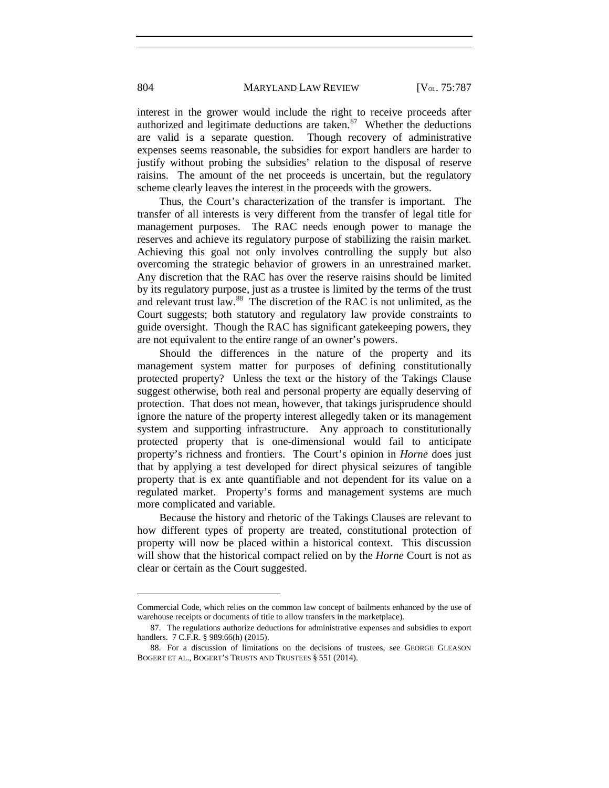interest in the grower would include the right to receive proceeds after authorized and legitimate deductions are taken. $87$  Whether the deductions are valid is a separate question. Though recovery of administrative expenses seems reasonable, the subsidies for export handlers are harder to justify without probing the subsidies' relation to the disposal of reserve raisins. The amount of the net proceeds is uncertain, but the regulatory scheme clearly leaves the interest in the proceeds with the growers.

Thus, the Court's characterization of the transfer is important. The transfer of all interests is very different from the transfer of legal title for management purposes. The RAC needs enough power to manage the reserves and achieve its regulatory purpose of stabilizing the raisin market. Achieving this goal not only involves controlling the supply but also overcoming the strategic behavior of growers in an unrestrained market. Any discretion that the RAC has over the reserve raisins should be limited by its regulatory purpose, just as a trustee is limited by the terms of the trust and relevant trust law.<sup>[88](#page-18-1)</sup> The discretion of the RAC is not unlimited, as the Court suggests; both statutory and regulatory law provide constraints to guide oversight. Though the RAC has significant gatekeeping powers, they are not equivalent to the entire range of an owner's powers.

Should the differences in the nature of the property and its management system matter for purposes of defining constitutionally protected property? Unless the text or the history of the Takings Clause suggest otherwise, both real and personal property are equally deserving of protection. That does not mean, however, that takings jurisprudence should ignore the nature of the property interest allegedly taken or its management system and supporting infrastructure. Any approach to constitutionally protected property that is one-dimensional would fail to anticipate property's richness and frontiers. The Court's opinion in *Horne* does just that by applying a test developed for direct physical seizures of tangible property that is ex ante quantifiable and not dependent for its value on a regulated market. Property's forms and management systems are much more complicated and variable.

Because the history and rhetoric of the Takings Clauses are relevant to how different types of property are treated, constitutional protection of property will now be placed within a historical context. This discussion will show that the historical compact relied on by the *Horne* Court is not as clear or certain as the Court suggested.

Commercial Code, which relies on the common law concept of bailments enhanced by the use of warehouse receipts or documents of title to allow transfers in the marketplace).

<span id="page-18-0"></span><sup>87.</sup> The regulations authorize deductions for administrative expenses and subsidies to export handlers. 7 C.F.R. § 989.66(h) (2015).

<span id="page-18-1"></span><sup>88.</sup> For a discussion of limitations on the decisions of trustees, see GEORGE GLEASON BOGERT ET AL., BOGERT'S TRUSTS AND TRUSTEES § 551 (2014).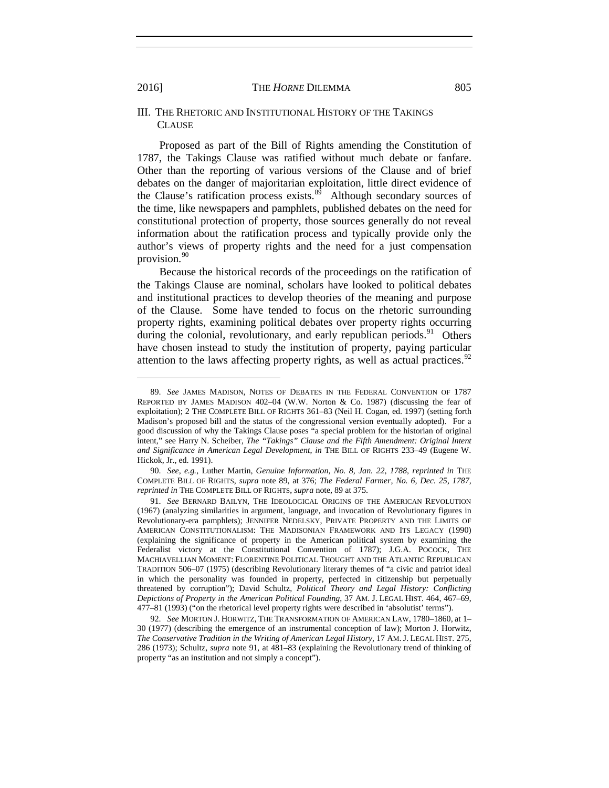#### III. THE RHETORIC AND INSTITUTIONAL HISTORY OF THE TAKINGS CLAUSE

<span id="page-19-0"></span>Proposed as part of the Bill of Rights amending the Constitution of 1787, the Takings Clause was ratified without much debate or fanfare. Other than the reporting of various versions of the Clause and of brief debates on the danger of majoritarian exploitation, little direct evidence of the Clause's ratification process exists. $89$  Although secondary sources of the time, like newspapers and pamphlets, published debates on the need for constitutional protection of property, those sources generally do not reveal information about the ratification process and typically provide only the author's views of property rights and the need for a just compensation provision.<sup>[90](#page-19-3)</sup>

Because the historical records of the proceedings on the ratification of the Takings Clause are nominal, scholars have looked to political debates and institutional practices to develop theories of the meaning and purpose of the Clause. Some have tended to focus on the rhetoric surrounding property rights, examining political debates over property rights occurring during the colonial, revolutionary, and early republican periods.<sup>[91](#page-19-4)</sup> Others have chosen instead to study the institution of property, paying particular attention to the laws affecting property rights, as well as actual practices.<sup>[92](#page-19-5)</sup>

<span id="page-19-6"></span><span id="page-19-2"></span><span id="page-19-1"></span><sup>89.</sup> *See* JAMES MADISON, NOTES OF DEBATES IN THE FEDERAL CONVENTION OF 1787 REPORTED BY JAMES MADISON 402–04 (W.W. Norton & Co. 1987) (discussing the fear of exploitation); 2 THE COMPLETE BILL OF RIGHTS 361–83 (Neil H. Cogan, ed. 1997) (setting forth Madison's proposed bill and the status of the congressional version eventually adopted). For a good discussion of why the Takings Clause poses "a special problem for the historian of original intent," see Harry N. Scheiber, *The "Takings" Clause and the Fifth Amendment: Original Intent and Significance in American Legal Development*, *in* THE BILL OF RIGHTS 233–49 (Eugene W. Hickok, Jr., ed. 1991).

<span id="page-19-3"></span><sup>90.</sup> *See, e.g.*, Luther Martin, *Genuine Information, No. 8, Jan. 22, 1788*, *reprinted in* THE COMPLETE BILL OF RIGHTS, *supra* note [89,](#page-19-0) at 376; *The Federal Farmer, No. 6, Dec. 25, 1787*, *reprinted in* THE COMPLETE BILL OF RIGHTS, *supra* note, [89](#page-19-0) at 375.

<span id="page-19-4"></span><sup>91.</sup> *See* BERNARD BAILYN, THE IDEOLOGICAL ORIGINS OF THE AMERICAN REVOLUTION (1967) (analyzing similarities in argument, language, and invocation of Revolutionary figures in Revolutionary-era pamphlets); JENNIFER NEDELSKY, PRIVATE PROPERTY AND THE LIMITS OF AMERICAN CONSTITUTIONALISM: THE MADISONIAN FRAMEWORK AND ITS LEGACY (1990) (explaining the significance of property in the American political system by examining the Federalist victory at the Constitutional Convention of 1787); J.G.A. POCOCK, THE MACHIAVELLIAN MOMENT: FLORENTINE POLITICAL THOUGHT AND THE ATLANTIC REPUBLICAN TRADITION 506–07 (1975) (describing Revolutionary literary themes of "a civic and patriot ideal in which the personality was founded in property, perfected in citizenship but perpetually threatened by corruption"); David Schultz, *Political Theory and Legal History: Conflicting Depictions of Property in the American Political Founding*, 37 AM. J. LEGAL HIST. 464, 467–69, 477–81 (1993) ("on the rhetorical level property rights were described in 'absolutist' terms").

<span id="page-19-5"></span><sup>92.</sup> *See* MORTON J. HORWITZ, THE TRANSFORMATION OF AMERICAN LAW, 1780–1860, at 1– 30 (1977) (describing the emergence of an instrumental conception of law); Morton J. Horwitz, *The Conservative Tradition in the Writing of American Legal History*, 17 AM. J. LEGAL HIST. 275, 286 (1973); Schultz, *supra* note [91,](#page-19-1) at 481–83 (explaining the Revolutionary trend of thinking of property "as an institution and not simply a concept").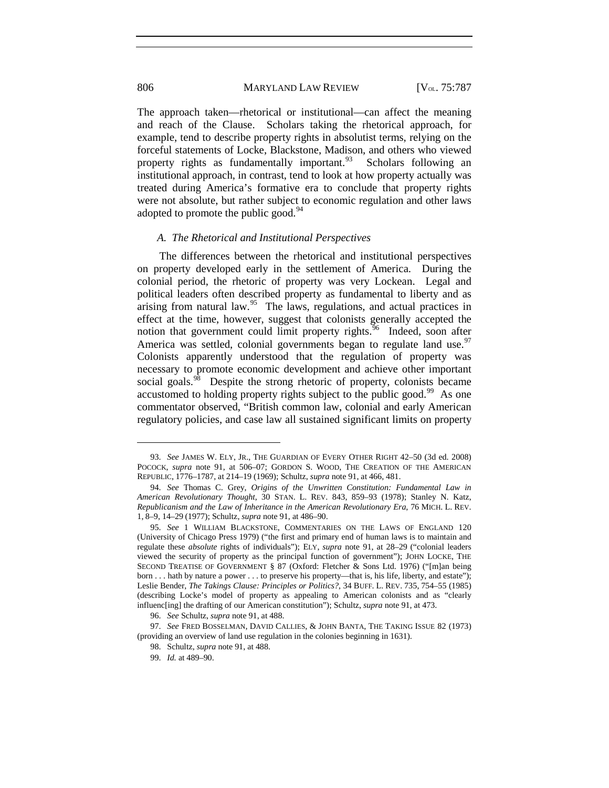The approach taken—rhetorical or institutional—can affect the meaning and reach of the Clause. Scholars taking the rhetorical approach, for example, tend to describe property rights in absolutist terms, relying on the forceful statements of Locke, Blackstone, Madison, and others who viewed property rights as fundamentally important.<sup>[93](#page-20-0)</sup> Scholars following an institutional approach, in contrast, tend to look at how property actually was treated during America's formative era to conclude that property rights were not absolute, but rather subject to economic regulation and other laws adopted to promote the public good. $94$ 

#### <span id="page-20-8"></span><span id="page-20-7"></span>*A. The Rhetorical and Institutional Perspectives*

The differences between the rhetorical and institutional perspectives on property developed early in the settlement of America. During the colonial period, the rhetoric of property was very Lockean. Legal and political leaders often described property as fundamental to liberty and as arising from natural law. $95$  The laws, regulations, and actual practices in effect at the time, however, suggest that colonists generally accepted the notion that government could limit property rights.<sup>[96](#page-20-3)</sup> Indeed, soon after America was settled, colonial governments began to regulate land use.<sup>[97](#page-20-4)</sup> Colonists apparently understood that the regulation of property was necessary to promote economic development and achieve other important social goals.<sup>98</sup> Despite the strong rhetoric of property, colonists became accustomed to holding property rights subject to the public good.<sup>[99](#page-20-6)</sup> As one commentator observed, "British common law, colonial and early American regulatory policies, and case law all sustained significant limits on property

<span id="page-20-0"></span><sup>93.</sup> *See* JAMES W. ELY, JR., THE GUARDIAN OF EVERY OTHER RIGHT 42–50 (3d ed. 2008) POCOCK, *supra* note [91,](#page-19-1) at 506–07; GORDON S. WOOD, THE CREATION OF THE AMERICAN REPUBLIC, 1776–1787, at 214–19 (1969); Schultz, *supra* note [91,](#page-19-1) at 466, 481.

<span id="page-20-1"></span><sup>94.</sup> *See* Thomas C. Grey, *Origins of the Unwritten Constitution: Fundamental Law in American Revolutionary Thought*, 30 STAN. L. REV. 843, 859–93 (1978); Stanley N. Katz, *Republicanism and the Law of Inheritance in the American Revolutionary Era*, 76 MICH. L. REV. 1, 8–9, 14–29 (1977); Schultz, *supra* note [91,](#page-19-1) at 486–90.

<span id="page-20-2"></span><sup>95.</sup> *See* 1 WILLIAM BLACKSTONE, COMMENTARIES ON THE LAWS OF ENGLAND 120 (University of Chicago Press 1979) ("the first and primary end of human laws is to maintain and regulate these *absolute* rights of individuals"); ELY, *supra* note 91, at 28–29 ("colonial leaders viewed the security of property as the principal function of government"); JOHN LOCKE, THE SECOND TREATISE OF GOVERNMENT § 87 (Oxford: Fletcher & Sons Ltd. 1976) ("[m]an being born . . . hath by nature a power . . . to preserve his property—that is, his life, liberty, and estate"); Leslie Bender, *The Takings Clause: Principles or Politics?*, 34 BUFF. L. REV. 735, 754–55 (1985) (describing Locke's model of property as appealing to American colonists and as "clearly influenc[ing] the drafting of our American constitution"); Schultz, *supra* note [91,](#page-19-1) at 473.

<sup>96.</sup> *See* Schultz, *supra* note [91,](#page-19-1) at 488.

<span id="page-20-6"></span><span id="page-20-5"></span><span id="page-20-4"></span><span id="page-20-3"></span><sup>97.</sup> *See* FRED BOSSELMAN, DAVID CALLIES, & JOHN BANTA, THE TAKING ISSUE 82 (1973) (providing an overview of land use regulation in the colonies beginning in 1631).

<sup>98.</sup> Schultz, *supra* note [91,](#page-19-1) at 488.

<sup>99.</sup> *Id.* at 489–90.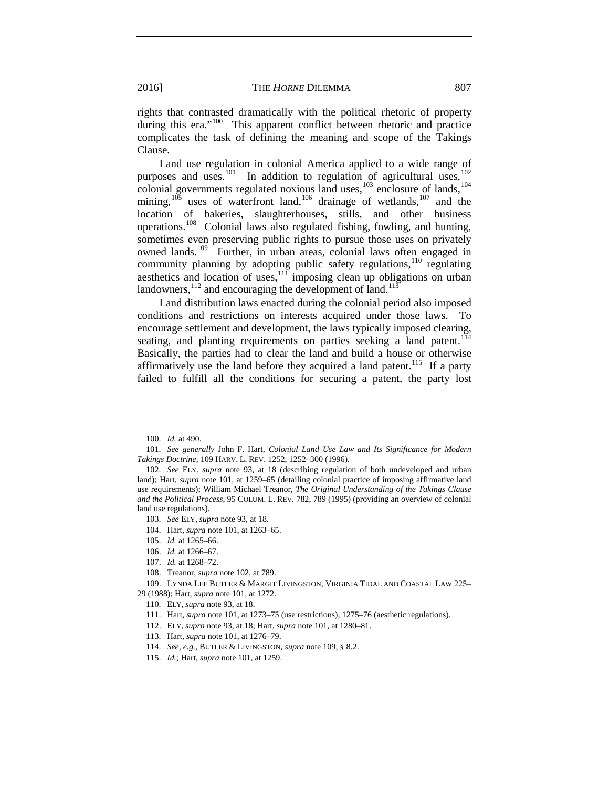rights that contrasted dramatically with the political rhetoric of property during this era."<sup>[100](#page-21-3)</sup> This apparent conflict between rhetoric and practice complicates the task of defining the meaning and scope of the Takings Clause.

<span id="page-21-1"></span><span id="page-21-0"></span>Land use regulation in colonial America applied to a wide range of purposes and uses.<sup>[101](#page-21-4)</sup> In addition to regulation of agricultural uses,  $102$ colonial governments regulated noxious land uses, $103$  enclosure of lands, $104$ mining,  $105$  uses of waterfront land,  $106$  drainage of wetlands,  $107$  and the location of bakeries, slaughterhouses, stills, and other business operations.[108](#page-21-11) Colonial laws also regulated fishing, fowling, and hunting, sometimes even preserving public rights to pursue those uses on privately owned lands.<sup>[109](#page-21-12)</sup> Further, in urban areas, colonial laws often engaged in community planning by adopting public safety regulations,<sup>[110](#page-21-13)</sup> regulating aesthetics and location of uses,<sup>[111](#page-21-14)</sup> imposing clean up obligations on urban landowners,  $^{112}$  $^{112}$  $^{112}$  and encouraging the development of land.<sup>[113](#page-21-16)</sup>

<span id="page-21-2"></span>Land distribution laws enacted during the colonial period also imposed conditions and restrictions on interests acquired under those laws. To encourage settlement and development, the laws typically imposed clearing, seating, and planting requirements on parties seeking a land patent.<sup>[114](#page-21-17)</sup> Basically, the parties had to clear the land and build a house or otherwise affirmatively use the land before they acquired a land patent.<sup>115</sup> If a party failed to fulfill all the conditions for securing a patent, the party lost

- <span id="page-21-7"></span>104. Hart, *supra* note [101,](#page-21-0) at 1263–65.
- <span id="page-21-8"></span>105. *Id.* at 1265–66.
- 106. *Id.* at 1266–67.
- 107. *Id.* at 1268–72.
- 108. Treanor, *supra* note [102,](#page-21-1) at 789.

- <span id="page-21-18"></span><span id="page-21-17"></span><span id="page-21-16"></span><span id="page-21-15"></span><span id="page-21-14"></span><span id="page-21-13"></span><span id="page-21-12"></span><span id="page-21-11"></span><span id="page-21-10"></span><span id="page-21-9"></span>29 (1988); Hart, *supra* note [101,](#page-21-0) at 1272.
	- 110. ELY, *supra* note [93,](#page-20-7) at 18.
	- 111. Hart, *supra* note [101,](#page-21-0) at 1273–75 (use restrictions), 1275–76 (aesthetic regulations).
	- 112. ELY, *supra* note [93,](#page-20-7) at 18; Hart, *supra* note [101,](#page-21-0) at 1280–81.
	- 113. Hart, *supra* note [101,](#page-21-0) at 1276–79.
	- 114. *See, e.g.*, BUTLER & LIVINGSTON, *supra* note [109,](#page-21-2) § 8.2.
	- 115. *Id.*; Hart, *supra* note [101,](#page-21-0) at 1259.

<sup>100.</sup> *Id.* at 490.

<span id="page-21-4"></span><span id="page-21-3"></span><sup>101.</sup> *See generally* John F. Hart, *Colonial Land Use Law and Its Significance for Modern Takings Doctrine*, 109 HARV. L. REV. 1252, 1252–300 (1996).

<span id="page-21-6"></span><span id="page-21-5"></span><sup>102.</sup> *See* ELY, *supra* note [93,](#page-20-7) at 18 (describing regulation of both undeveloped and urban land); Hart, *supra* note [101,](#page-21-0) at 1259–65 (detailing colonial practice of imposing affirmative land use requirements); William Michael Treanor, *The Original Understanding of the Takings Clause and the Political Process*, 95 COLUM. L. REV. 782, 789 (1995) (providing an overview of colonial land use regulations).

<sup>103.</sup> *See* ELY, *supra* note [93,](#page-20-7) at 18.

<sup>109.</sup> LYNDA LEE BUTLER & MARGIT LIVINGSTON, VIRGINIA TIDAL AND COASTAL LAW 225–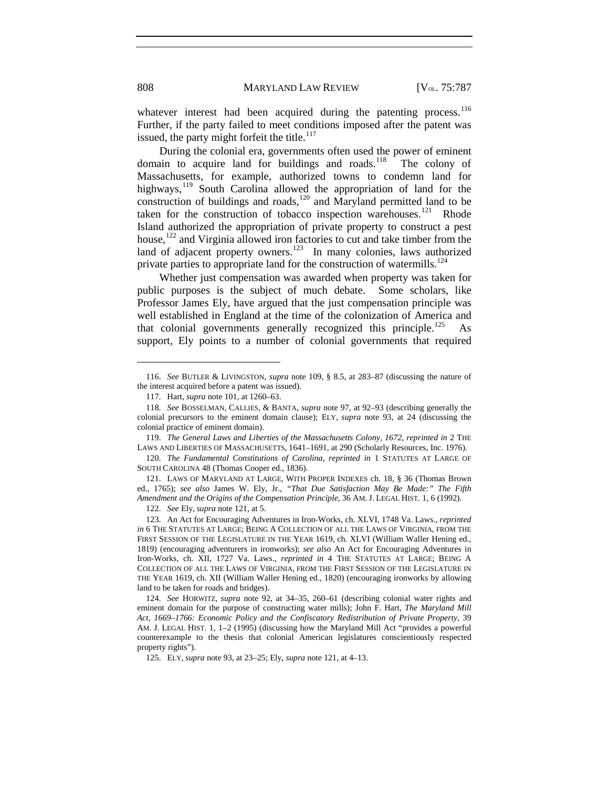whatever interest had been acquired during the patenting process.<sup>[116](#page-22-1)</sup> Further, if the party failed to meet conditions imposed after the patent was issued, the party might forfeit the title.<sup>[117](#page-22-2)</sup>

During the colonial era, governments often used the power of eminent domain to acquire land for buildings and roads.<sup>118</sup> The colony of Massachusetts, for example, authorized towns to condemn land for highways,<sup>[119](#page-22-4)</sup> South Carolina allowed the appropriation of land for the construction of buildings and roads,<sup>[120](#page-22-5)</sup> and Maryland permitted land to be taken for the construction of tobacco inspection warehouses.<sup>[121](#page-22-6)</sup> Rhode Island authorized the appropriation of private property to construct a pest house, $122$  and Virginia allowed iron factories to cut and take timber from the land of adjacent property owners.<sup>[123](#page-22-8)</sup> In many colonies, laws authorized private parties to appropriate land for the construction of watermills.<sup>[124](#page-22-9)</sup>

<span id="page-22-0"></span>Whether just compensation was awarded when property was taken for public purposes is the subject of much debate. Some scholars, like Professor James Ely, have argued that the just compensation principle was well established in England at the time of the colonization of America and that colonial governments generally recognized this principle.<sup>[125](#page-22-10)</sup> support, Ely points to a number of colonial governments that required

<span id="page-22-6"></span>121. LAWS OF MARYLAND AT LARGE, WITH PROPER INDEXES ch. 18, § 36 (Thomas Brown ed., 1765); *see also* James W. Ely, Jr., *"That Due Satisfaction May Be Made:" The Fifth Amendment and the Origins of the Compensation Principle*, 36 AM. J. LEGAL HIST. 1, 6 (1992).

122. *See* Ely, *supra* note [121,](#page-22-0) at 5.

<span id="page-22-9"></span>124. *See* HORWITZ, *supra* note [92,](#page-19-6) at 34–35, 260–61 (describing colonial water rights and eminent domain for the purpose of constructing water mills); John F. Hart, *The Maryland Mill Act, 1669–1766: Economic Policy and the Confiscatory Redistribution of Private Property*, 39 AM. J. LEGAL HIST. 1, 1–2 (1995) (discussing how the Maryland Mill Act "provides a powerful counterexample to the thesis that colonial American legislatures conscientiously respected property rights").

<span id="page-22-10"></span>125. ELY, *supra* note [93,](#page-20-7) at 23–25; Ely, *supra* note [121,](#page-22-0) at 4–13.

<span id="page-22-1"></span><sup>116.</sup> *See* BUTLER & LIVINGSTON, *supra* note [109,](#page-21-2) § 8.5, at 283–87 (discussing the nature of the interest acquired before a patent was issued).

<sup>117.</sup> Hart, *supra* note [101,](#page-21-0) at 1260–63.

<span id="page-22-3"></span><span id="page-22-2"></span><sup>118.</sup> *See* BOSSELMAN, CALLIES, & BANTA, *supra* note [97,](#page-20-8) at 92–93 (describing generally the colonial precursors to the eminent domain clause); ELY, *supra* note [93,](#page-20-7) at 24 (discussing the colonial practice of eminent domain).

<span id="page-22-4"></span><sup>119.</sup> *The General Laws and Liberties of the Massachusetts Colony, 1672*, *reprinted in* 2 THE LAWS AND LIBERTIES OF MASSACHUSETTS, 1641–1691, at 290 (Scholarly Resources, Inc. 1976).

<span id="page-22-5"></span><sup>120.</sup> *The Fundamental Constitutions of Carolina*, *reprinted in* 1 STATUTES AT LARGE OF SOUTH CAROLINA 48 (Thomas Cooper ed., 1836).

<span id="page-22-8"></span><span id="page-22-7"></span><sup>123.</sup> An Act for Encouraging Adventures in Iron-Works, ch. XLVI, 1748 Va. Laws., *reprinted in* 6 THE STATUTES AT LARGE; BEING A COLLECTION OF ALL THE LAWS OF VIRGINIA, FROM THE FIRST SESSION OF THE LEGISLATURE IN THE YEAR 1619, ch. XLVI (William Waller Hening ed., 1819) (encouraging adventurers in ironworks); *see also* An Act for Encouraging Adventures in Iron-Works, ch. XII, 1727 Va. Laws., *reprinted in* 4 THE STATUTES AT LARGE; BEING A COLLECTION OF ALL THE LAWS OF VIRGINIA, FROM THE FIRST SESSION OF THE LEGISLATURE IN THE YEAR 1619, ch. XII (William Waller Hening ed., 1820) (encouraging ironworks by allowing land to be taken for roads and bridges).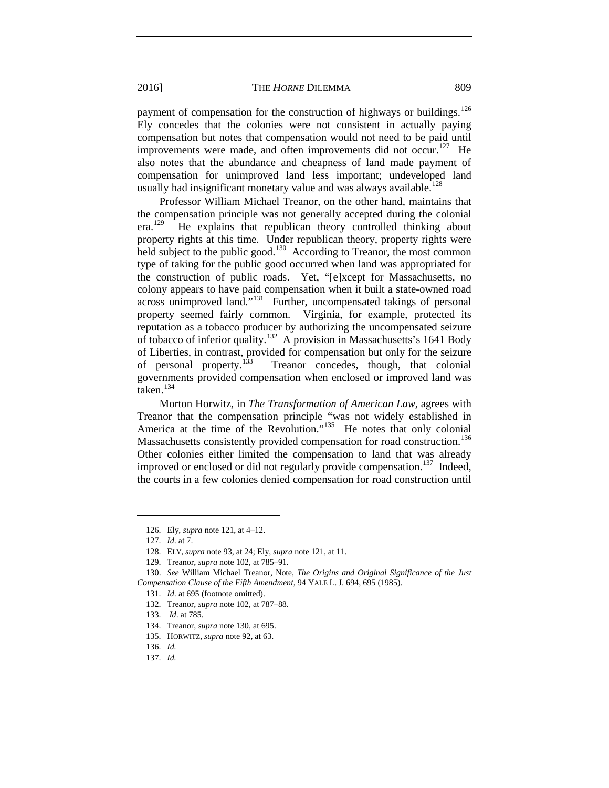payment of compensation for the construction of highways or buildings. $126$ Ely concedes that the colonies were not consistent in actually paying compensation but notes that compensation would not need to be paid until improvements were made, and often improvements did not occur.<sup>[127](#page-23-2)</sup> He also notes that the abundance and cheapness of land made payment of compensation for unimproved land less important; undeveloped land usually had insignificant monetary value and was always available.<sup>[128](#page-23-3)</sup>

<span id="page-23-0"></span>Professor William Michael Treanor, on the other hand, maintains that the compensation principle was not generally accepted during the colonial<br>era.<sup>129</sup> He explains that republican theory controlled thinking about He explains that republican theory controlled thinking about property rights at this time. Under republican theory, property rights were held subject to the public good.<sup>130</sup> According to Treanor, the most common type of taking for the public good occurred when land was appropriated for the construction of public roads. Yet, "[e]xcept for Massachusetts, no colony appears to have paid compensation when it built a state-owned road across unimproved land."[131](#page-23-6) Further, uncompensated takings of personal property seemed fairly common. Virginia, for example, protected its reputation as a tobacco producer by authorizing the uncompensated seizure of tobacco of inferior quality.<sup>[132](#page-23-7)</sup> A provision in Massachusetts's 1641 Body of Liberties, in contrast, provided for compensation but only for the seizure<br>of personal property.<sup>133</sup> Treanor concedes, though, that colonial of personal property.<sup>[133](#page-23-8)</sup> Treanor concedes, though, that colonial governments provided compensation when enclosed or improved land was taken.<sup>[134](#page-23-9)</sup>

Morton Horwitz, in *The Transformation of American Law*, agrees with Treanor that the compensation principle "was not widely established in America at the time of the Revolution."<sup>135</sup> He notes that only colonial Massachusetts consistently provided compensation for road construction.<sup>[136](#page-23-11)</sup> Other colonies either limited the compensation to land that was already improved or enclosed or did not regularly provide compensation.<sup>137</sup> Indeed, the courts in a few colonies denied compensation for road construction until

<sup>126.</sup> Ely, *supra* note [121,](#page-22-0) at 4–12.

<sup>127.</sup> *Id*. at 7.

<sup>128.</sup> ELY, *supra* note [93,](#page-20-7) at 24; Ely, *supra* note [121,](#page-22-0) at 11.

<sup>129.</sup> Treanor, *supra* note [102,](#page-21-1) at 785–91.

<span id="page-23-8"></span><span id="page-23-7"></span><span id="page-23-6"></span><span id="page-23-5"></span><span id="page-23-4"></span><span id="page-23-3"></span><span id="page-23-2"></span><span id="page-23-1"></span><sup>130.</sup> *See* William Michael Treanor, Note, *The Origins and Original Significance of the Just Compensation Clause of the Fifth Amendment*, 94 YALE L. J. 694*,* 695 (1985).

<sup>131.</sup> *Id*. at 695 (footnote omitted).

<sup>132.</sup> Treanor, *supra* note [102,](#page-21-1) at 787–88.

<sup>133.</sup> *Id*. at 785.

<span id="page-23-10"></span><span id="page-23-9"></span><sup>134.</sup> Treanor, *supra* note [130,](#page-23-0) at 695.

<sup>135.</sup> HORWITZ, *supra* note [92,](#page-19-6) at 63.

<span id="page-23-12"></span><span id="page-23-11"></span><sup>136.</sup> *Id.*

<sup>137.</sup> *Id.*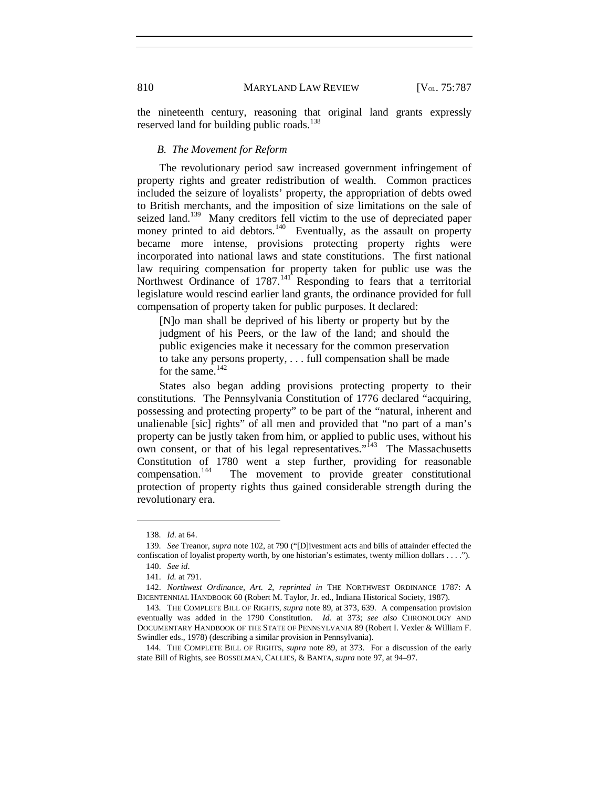the nineteenth century, reasoning that original land grants expressly reserved land for building public roads.<sup>[138](#page-24-0)</sup>

#### *B. The Movement for Reform*

The revolutionary period saw increased government infringement of property rights and greater redistribution of wealth. Common practices included the seizure of loyalists' property, the appropriation of debts owed to British merchants, and the imposition of size limitations on the sale of seized land.<sup>[139](#page-24-1)</sup> Many creditors fell victim to the use of depreciated paper money printed to aid debtors.<sup>[140](#page-24-2)</sup> Eventually, as the assault on property became more intense, provisions protecting property rights were incorporated into national laws and state constitutions. The first national law requiring compensation for property taken for public use was the Northwest Ordinance of 1787.<sup>[141](#page-24-3)</sup> Responding to fears that a territorial legislature would rescind earlier land grants, the ordinance provided for full compensation of property taken for public purposes. It declared:

[N]o man shall be deprived of his liberty or property but by the judgment of his Peers, or the law of the land; and should the public exigencies make it necessary for the common preservation to take any persons property, . . . full compensation shall be made for the same.<sup>[142](#page-24-4)</sup>

States also began adding provisions protecting property to their constitutions. The Pennsylvania Constitution of 1776 declared "acquiring, possessing and protecting property" to be part of the "natural, inherent and unalienable [sic] rights" of all men and provided that "no part of a man's property can be justly taken from him, or applied to public uses, without his own consent, or that of his legal representatives."<sup>[143](#page-24-5)</sup> The Massachusetts Constitution of 1780 went a step further, providing for reasonable compensation.<sup>144</sup> The movement to provide greater constitutional The movement to provide greater constitutional protection of property rights thus gained considerable strength during the revolutionary era.

<sup>138.</sup> *Id*. at 64.

<span id="page-24-2"></span><span id="page-24-1"></span><span id="page-24-0"></span><sup>139.</sup> *See* Treanor, *supra* note [102,](#page-21-1) at 790 ("[D]ivestment acts and bills of attainder effected the confiscation of loyalist property worth, by one historian's estimates, twenty million dollars . . . ."). 140. *See id*.

<sup>141.</sup> *Id.* at 791.

<span id="page-24-4"></span><span id="page-24-3"></span><sup>142.</sup> *Northwest Ordinance, Art. 2*, *reprinted in* THE NORTHWEST ORDINANCE 1787: A BICENTENNIAL HANDBOOK 60 (Robert M. Taylor, Jr. ed., Indiana Historical Society, 1987).

<span id="page-24-5"></span><sup>143.</sup> THE COMPLETE BILL OF RIGHTS, *supra* note [89,](#page-19-0) at 373, 639. A compensation provision eventually was added in the 1790 Constitution. *Id.* at 373; *see also* CHRONOLOGY AND DOCUMENTARY HANDBOOK OF THE STATE OF PENNSYLVANIA 89 (Robert I. Vexler & William F. Swindler eds., 1978) (describing a similar provision in Pennsylvania).

<span id="page-24-6"></span><sup>144.</sup> THE COMPLETE BILL OF RIGHTS, *supra* note [89,](#page-19-0) at 373. For a discussion of the early state Bill of Rights, see BOSSELMAN, CALLIES, & BANTA, *supra* note [97,](#page-20-8) at 94–97.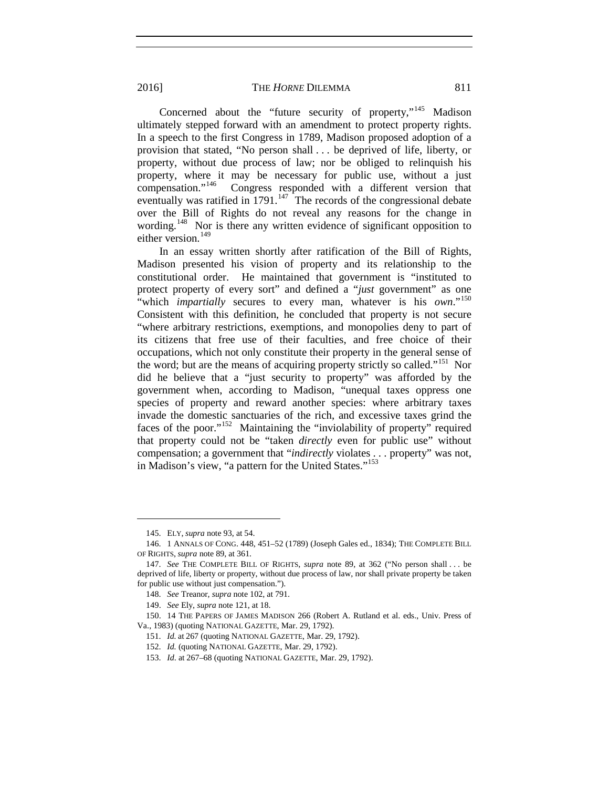Concerned about the "future security of property,"<sup>[145](#page-25-0)</sup> Madison ultimately stepped forward with an amendment to protect property rights. In a speech to the first Congress in 1789, Madison proposed adoption of a provision that stated, "No person shall . . . be deprived of life, liberty, or property, without due process of law; nor be obliged to relinquish his property, where it may be necessary for public use, without a just compensation."<sup>146</sup> Congress responded with a different version that Congress responded with a different version that eventually was ratified in  $1791$ .<sup>[147](#page-25-2)</sup> The records of the congressional debate over the Bill of Rights do not reveal any reasons for the change in wording.<sup>[148](#page-25-3)</sup> Nor is there any written evidence of significant opposition to either version.<sup>[149](#page-25-4)</sup>

In an essay written shortly after ratification of the Bill of Rights, Madison presented his vision of property and its relationship to the constitutional order. He maintained that government is "instituted to protect property of every sort" and defined a "*just* government" as one "which *impartially* secures to every man, whatever is his *own*."<sup>[150](#page-25-5)</sup> Consistent with this definition, he concluded that property is not secure "where arbitrary restrictions, exemptions, and monopolies deny to part of its citizens that free use of their faculties, and free choice of their occupations, which not only constitute their property in the general sense of the word; but are the means of acquiring property strictly so called."<sup>[151](#page-25-6)</sup> Nor did he believe that a "just security to property" was afforded by the government when, according to Madison, "unequal taxes oppress one species of property and reward another species: where arbitrary taxes invade the domestic sanctuaries of the rich, and excessive taxes grind the faces of the poor."[152](#page-25-7) Maintaining the "inviolability of property" required that property could not be "taken *directly* even for public use" without compensation; a government that "*indirectly* violates . . . property" was not, in Madison's view, "a pattern for the United States."<sup>[153](#page-25-8)</sup>

<sup>145.</sup> ELY, *supra* note [93,](#page-20-7) at 54.

<span id="page-25-1"></span><span id="page-25-0"></span><sup>146.</sup> 1 ANNALS OF CONG. 448, 451–52 (1789) (Joseph Gales ed., 1834); THE COMPLETE BILL OF RIGHTS, *supra* note [89,](#page-19-0) at 361.

<span id="page-25-2"></span><sup>147.</sup> *See* THE COMPLETE BILL OF RIGHTS, *supra* note [89,](#page-19-0) at 362 ("No person shall . . . be deprived of life, liberty or property, without due process of law, nor shall private property be taken for public use without just compensation.").

<sup>148.</sup> *See* Treanor, *supra* note [102,](#page-21-1) at 791.

<sup>149.</sup> *See* Ely, *supra* note [121,](#page-22-0) at 18.

<span id="page-25-8"></span><span id="page-25-7"></span><span id="page-25-6"></span><span id="page-25-5"></span><span id="page-25-4"></span><span id="page-25-3"></span><sup>150.</sup> 14 THE PAPERS OF JAMES MADISON 266 (Robert A. Rutland et al. eds., Univ. Press of Va., 1983) (quoting NATIONAL GAZETTE, Mar. 29, 1792).

<sup>151.</sup> *Id.* at 267 (quoting NATIONAL GAZETTE, Mar. 29, 1792).

<sup>152.</sup> *Id.* (quoting NATIONAL GAZETTE, Mar. 29, 1792).

<sup>153.</sup> *Id*. at 267–68 (quoting NATIONAL GAZETTE, Mar. 29, 1792).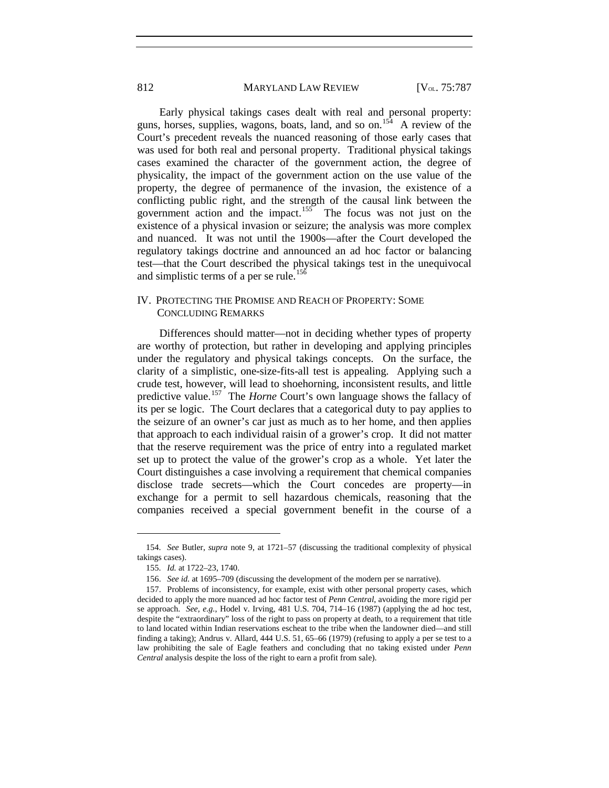Early physical takings cases dealt with real and personal property: guns, horses, supplies, wagons, boats, land, and so on.<sup>[154](#page-26-0)</sup> A review of the Court's precedent reveals the nuanced reasoning of those early cases that was used for both real and personal property. Traditional physical takings cases examined the character of the government action, the degree of physicality, the impact of the government action on the use value of the property, the degree of permanence of the invasion, the existence of a conflicting public right, and the strength of the causal link between the government action and the impact.<sup>[155](#page-26-1)</sup> The focus was not just on the existence of a physical invasion or seizure; the analysis was more complex and nuanced. It was not until the 1900s—after the Court developed the regulatory takings doctrine and announced an ad hoc factor or balancing test—that the Court described the physical takings test in the unequivocal and simplistic terms of a per se rule.<sup>[156](#page-26-2)</sup>

#### IV. PROTECTING THE PROMISE AND REACH OF PROPERTY: SOME CONCLUDING REMARKS

Differences should matter—not in deciding whether types of property are worthy of protection, but rather in developing and applying principles under the regulatory and physical takings concepts. On the surface, the clarity of a simplistic, one-size-fits-all test is appealing. Applying such a crude test, however, will lead to shoehorning, inconsistent results, and little predictive value.<sup>157</sup> The *Horne* Court's own language shows the fallacy of its per se logic. The Court declares that a categorical duty to pay applies to the seizure of an owner's car just as much as to her home, and then applies that approach to each individual raisin of a grower's crop. It did not matter that the reserve requirement was the price of entry into a regulated market set up to protect the value of the grower's crop as a whole. Yet later the Court distinguishes a case involving a requirement that chemical companies disclose trade secrets—which the Court concedes are property—in exchange for a permit to sell hazardous chemicals, reasoning that the companies received a special government benefit in the course of a

<span id="page-26-1"></span><span id="page-26-0"></span><sup>154.</sup> *See* Butler, *supra* note 9, at 1721–57 (discussing the traditional complexity of physical takings cases).

<sup>155.</sup> *Id.* at 1722–23, 1740.

<sup>156.</sup> *See id.* at 1695–709 (discussing the development of the modern per se narrative).

<span id="page-26-3"></span><span id="page-26-2"></span><sup>157.</sup> Problems of inconsistency, for example, exist with other personal property cases, which decided to apply the more nuanced ad hoc factor test of *Penn Central*, avoiding the more rigid per se approach. *See, e.g.*, Hodel v. Irving, 481 U.S. 704, 714–16 (1987) (applying the ad hoc test, despite the "extraordinary" loss of the right to pass on property at death, to a requirement that title to land located within Indian reservations escheat to the tribe when the landowner died—and still finding a taking); Andrus v. Allard, 444 U.S. 51, 65–66 (1979) (refusing to apply a per se test to a law prohibiting the sale of Eagle feathers and concluding that no taking existed under *Penn Central* analysis despite the loss of the right to earn a profit from sale).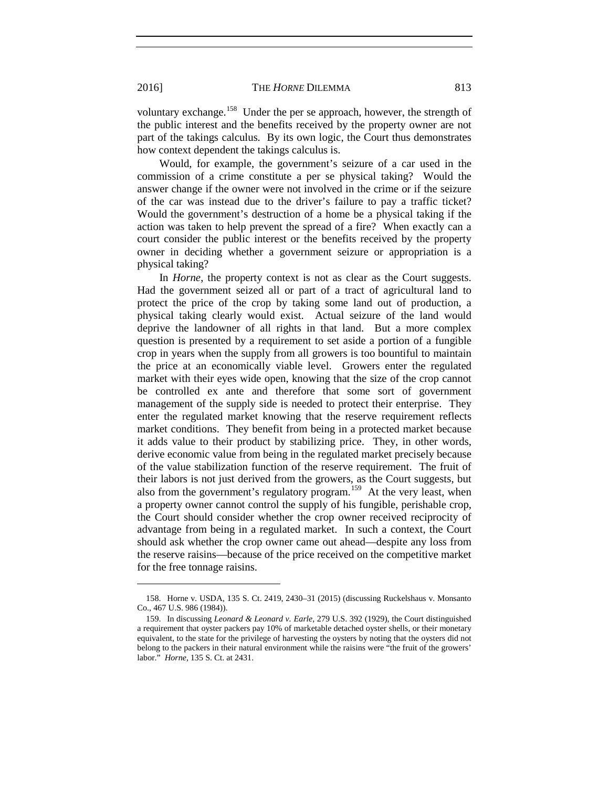voluntary exchange.<sup>[158](#page-27-0)</sup> Under the per se approach, however, the strength of the public interest and the benefits received by the property owner are not part of the takings calculus. By its own logic, the Court thus demonstrates how context dependent the takings calculus is.

Would, for example, the government's seizure of a car used in the commission of a crime constitute a per se physical taking? Would the answer change if the owner were not involved in the crime or if the seizure of the car was instead due to the driver's failure to pay a traffic ticket? Would the government's destruction of a home be a physical taking if the action was taken to help prevent the spread of a fire? When exactly can a court consider the public interest or the benefits received by the property owner in deciding whether a government seizure or appropriation is a physical taking?

In *Horne*, the property context is not as clear as the Court suggests. Had the government seized all or part of a tract of agricultural land to protect the price of the crop by taking some land out of production, a physical taking clearly would exist. Actual seizure of the land would deprive the landowner of all rights in that land. But a more complex question is presented by a requirement to set aside a portion of a fungible crop in years when the supply from all growers is too bountiful to maintain the price at an economically viable level. Growers enter the regulated market with their eyes wide open, knowing that the size of the crop cannot be controlled ex ante and therefore that some sort of government management of the supply side is needed to protect their enterprise. They enter the regulated market knowing that the reserve requirement reflects market conditions. They benefit from being in a protected market because it adds value to their product by stabilizing price. They, in other words, derive economic value from being in the regulated market precisely because of the value stabilization function of the reserve requirement. The fruit of their labors is not just derived from the growers, as the Court suggests, but also from the government's regulatory program.<sup>159</sup> At the very least, when a property owner cannot control the supply of his fungible, perishable crop, the Court should consider whether the crop owner received reciprocity of advantage from being in a regulated market. In such a context, the Court should ask whether the crop owner came out ahead—despite any loss from the reserve raisins—because of the price received on the competitive market for the free tonnage raisins.

<span id="page-27-0"></span><sup>158.</sup> Horne v. USDA, 135 S. Ct. 2419, 2430–31 (2015) (discussing Ruckelshaus v. Monsanto Co., 467 U.S. 986 (1984)).

<span id="page-27-1"></span><sup>159.</sup> In discussing *Leonard & Leonard v. Earle*, 279 U.S. 392 (1929), the Court distinguished a requirement that oyster packers pay 10% of marketable detached oyster shells, or their monetary equivalent, to the state for the privilege of harvesting the oysters by noting that the oysters did not belong to the packers in their natural environment while the raisins were "the fruit of the growers' labor." *Horne*, 135 S. Ct. at 2431.